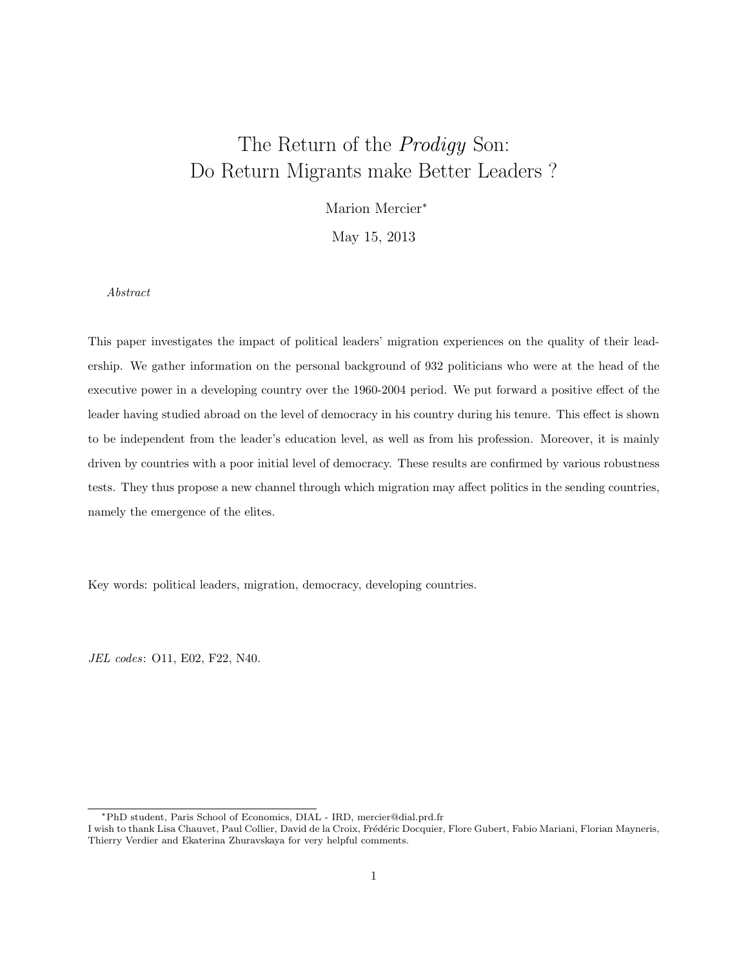# The Return of the *Prodigy* Son: Do Return Migrants make Better Leaders ?

Marion Mercier<sup>∗</sup>

May 15, 2013

Abstract

This paper investigates the impact of political leaders' migration experiences on the quality of their leadership. We gather information on the personal background of 932 politicians who were at the head of the executive power in a developing country over the 1960-2004 period. We put forward a positive effect of the leader having studied abroad on the level of democracy in his country during his tenure. This effect is shown to be independent from the leader's education level, as well as from his profession. Moreover, it is mainly driven by countries with a poor initial level of democracy. These results are confirmed by various robustness tests. They thus propose a new channel through which migration may affect politics in the sending countries, namely the emergence of the elites.

Key words: political leaders, migration, democracy, developing countries.

JEL codes: O11, E02, F22, N40.

<sup>∗</sup>PhD student, Paris School of Economics, DIAL - IRD, mercier@dial.prd.fr

I wish to thank Lisa Chauvet, Paul Collier, David de la Croix, Frédéric Docquier, Flore Gubert, Fabio Mariani, Florian Mayneris, Thierry Verdier and Ekaterina Zhuravskaya for very helpful comments.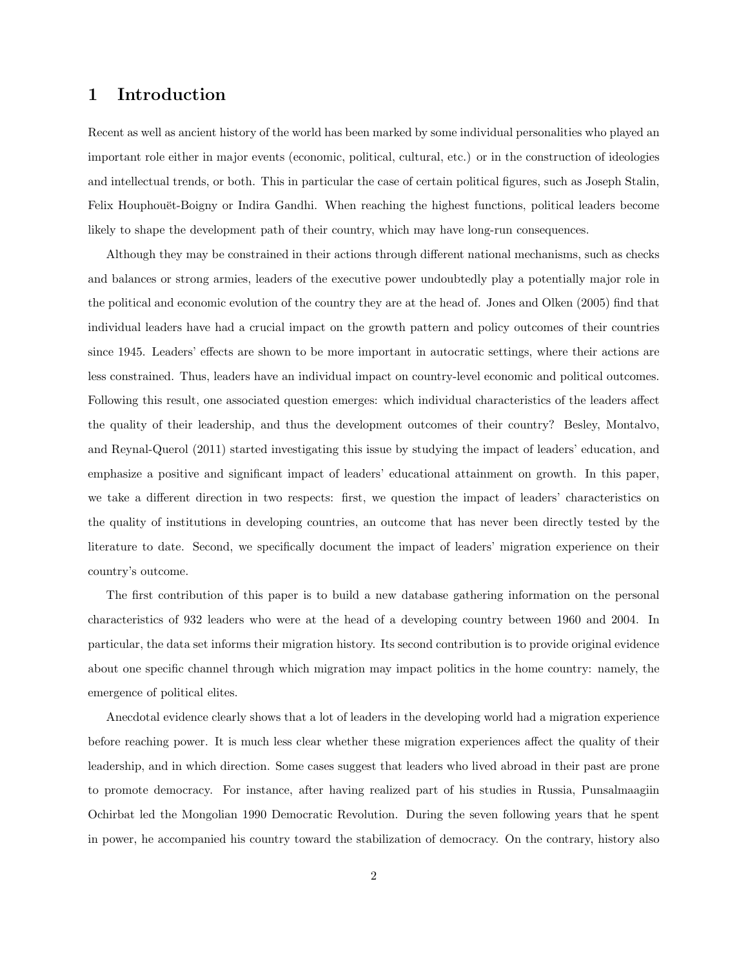# 1 Introduction

Recent as well as ancient history of the world has been marked by some individual personalities who played an important role either in major events (economic, political, cultural, etc.) or in the construction of ideologies and intellectual trends, or both. This in particular the case of certain political figures, such as Joseph Stalin, Felix Houphouët-Boigny or Indira Gandhi. When reaching the highest functions, political leaders become likely to shape the development path of their country, which may have long-run consequences.

Although they may be constrained in their actions through different national mechanisms, such as checks and balances or strong armies, leaders of the executive power undoubtedly play a potentially major role in the political and economic evolution of the country they are at the head of. Jones and Olken (2005) find that individual leaders have had a crucial impact on the growth pattern and policy outcomes of their countries since 1945. Leaders' effects are shown to be more important in autocratic settings, where their actions are less constrained. Thus, leaders have an individual impact on country-level economic and political outcomes. Following this result, one associated question emerges: which individual characteristics of the leaders affect the quality of their leadership, and thus the development outcomes of their country? Besley, Montalvo, and Reynal-Querol (2011) started investigating this issue by studying the impact of leaders' education, and emphasize a positive and significant impact of leaders' educational attainment on growth. In this paper, we take a different direction in two respects: first, we question the impact of leaders' characteristics on the quality of institutions in developing countries, an outcome that has never been directly tested by the literature to date. Second, we specifically document the impact of leaders' migration experience on their country's outcome.

The first contribution of this paper is to build a new database gathering information on the personal characteristics of 932 leaders who were at the head of a developing country between 1960 and 2004. In particular, the data set informs their migration history. Its second contribution is to provide original evidence about one specific channel through which migration may impact politics in the home country: namely, the emergence of political elites.

Anecdotal evidence clearly shows that a lot of leaders in the developing world had a migration experience before reaching power. It is much less clear whether these migration experiences affect the quality of their leadership, and in which direction. Some cases suggest that leaders who lived abroad in their past are prone to promote democracy. For instance, after having realized part of his studies in Russia, Punsalmaagiin Ochirbat led the Mongolian 1990 Democratic Revolution. During the seven following years that he spent in power, he accompanied his country toward the stabilization of democracy. On the contrary, history also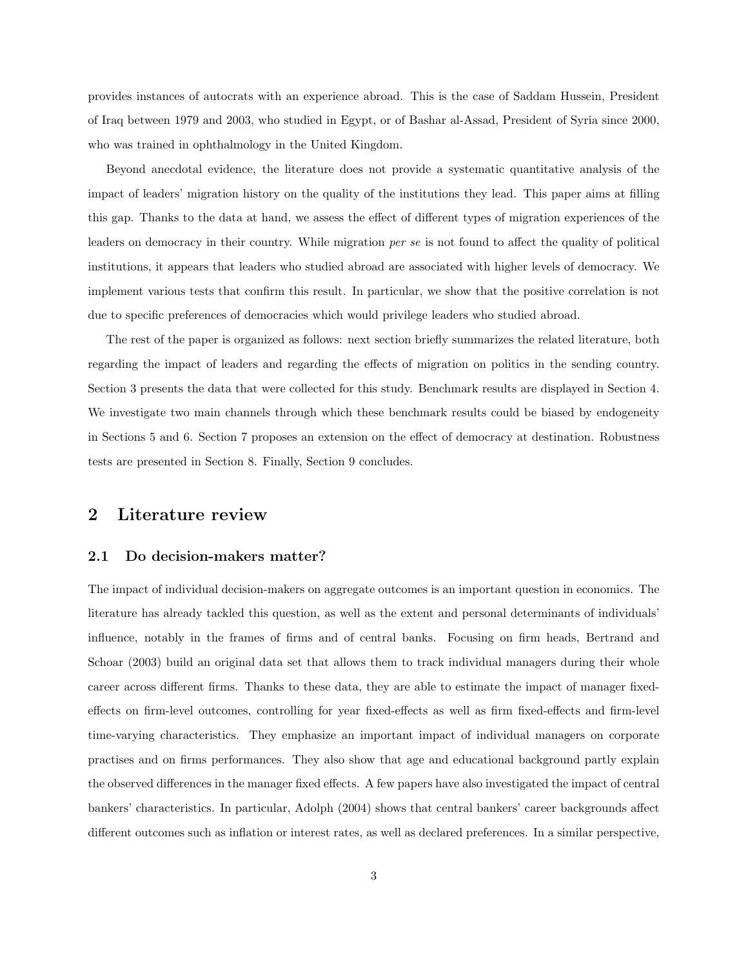provides instances of autocrats with an experience abroad. This is the case of Saddam Hussein, President of Iraq between 1979 and 2003, who studied in Egypt, or of Bashar al-Assad, President of Syria since 2000, who was trained in ophthalmology in the United Kingdom.

Beyond anecdotal evidence, the literature does not provide a systematic quantitative analysis of the impact of leaders' migration history on the quality of the institutions they lead. This paper aims at filling this gap. Thanks to the data at hand, we assess the effect of different types of migration experiences of the leaders on democracy in their country. While migration per se is not found to affect the quality of political institutions, it appears that leaders who studied abroad are associated with higher levels of democracy. We implement various tests that confirm this result. In particular, we show that the positive correlation is not due to specific preferences of democracies which would privilege leaders who studied abroad.

The rest of the paper is organized as follows: next section briefly summarizes the related literature, both regarding the impact of leaders and regarding the effects of migration on politics in the sending country. Section 3 presents the data that were collected for this study. Benchmark results are displayed in Section 4. We investigate two main channels through which these benchmark results could be biased by endogeneity in Sections 5 and 6. Section 7 proposes an extension on the effect of democracy at destination. Robustness tests are presented in Section 8. Finally, Section 9 concludes.

## 2 Literature review

#### 2.1 Do decision-makers matter?

The impact of individual decision-makers on aggregate outcomes is an important question in economics. The literature has already tackled this question, as well as the extent and personal determinants of individuals' influence, notably in the frames of firms and of central banks. Focusing on firm heads, Bertrand and Schoar (2003) build an original data set that allows them to track individual managers during their whole career across different firms. Thanks to these data, they are able to estimate the impact of manager fixedeffects on firm-level outcomes, controlling for year fixed-effects as well as firm fixed-effects and firm-level time-varying characteristics. They emphasize an important impact of individual managers on corporate practises and on firms performances. They also show that age and educational background partly explain the observed differences in the manager fixed effects. A few papers have also investigated the impact of central bankers' characteristics. In particular, Adolph (2004) shows that central bankers' career backgrounds affect different outcomes such as inflation or interest rates, as well as declared preferences. In a similar perspective,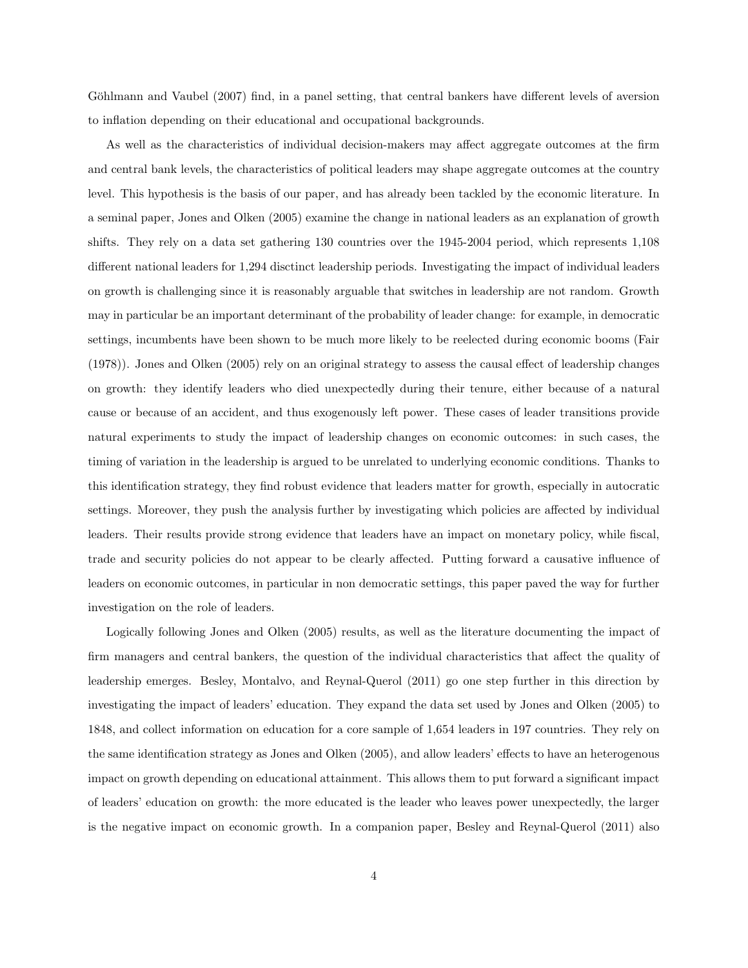Göhlmann and Vaubel (2007) find, in a panel setting, that central bankers have different levels of aversion to inflation depending on their educational and occupational backgrounds.

As well as the characteristics of individual decision-makers may affect aggregate outcomes at the firm and central bank levels, the characteristics of political leaders may shape aggregate outcomes at the country level. This hypothesis is the basis of our paper, and has already been tackled by the economic literature. In a seminal paper, Jones and Olken (2005) examine the change in national leaders as an explanation of growth shifts. They rely on a data set gathering 130 countries over the 1945-2004 period, which represents 1,108 different national leaders for 1,294 disctinct leadership periods. Investigating the impact of individual leaders on growth is challenging since it is reasonably arguable that switches in leadership are not random. Growth may in particular be an important determinant of the probability of leader change: for example, in democratic settings, incumbents have been shown to be much more likely to be reelected during economic booms (Fair (1978)). Jones and Olken (2005) rely on an original strategy to assess the causal effect of leadership changes on growth: they identify leaders who died unexpectedly during their tenure, either because of a natural cause or because of an accident, and thus exogenously left power. These cases of leader transitions provide natural experiments to study the impact of leadership changes on economic outcomes: in such cases, the timing of variation in the leadership is argued to be unrelated to underlying economic conditions. Thanks to this identification strategy, they find robust evidence that leaders matter for growth, especially in autocratic settings. Moreover, they push the analysis further by investigating which policies are affected by individual leaders. Their results provide strong evidence that leaders have an impact on monetary policy, while fiscal, trade and security policies do not appear to be clearly affected. Putting forward a causative influence of leaders on economic outcomes, in particular in non democratic settings, this paper paved the way for further investigation on the role of leaders.

Logically following Jones and Olken (2005) results, as well as the literature documenting the impact of firm managers and central bankers, the question of the individual characteristics that affect the quality of leadership emerges. Besley, Montalvo, and Reynal-Querol (2011) go one step further in this direction by investigating the impact of leaders' education. They expand the data set used by Jones and Olken (2005) to 1848, and collect information on education for a core sample of 1,654 leaders in 197 countries. They rely on the same identification strategy as Jones and Olken (2005), and allow leaders' effects to have an heterogenous impact on growth depending on educational attainment. This allows them to put forward a significant impact of leaders' education on growth: the more educated is the leader who leaves power unexpectedly, the larger is the negative impact on economic growth. In a companion paper, Besley and Reynal-Querol (2011) also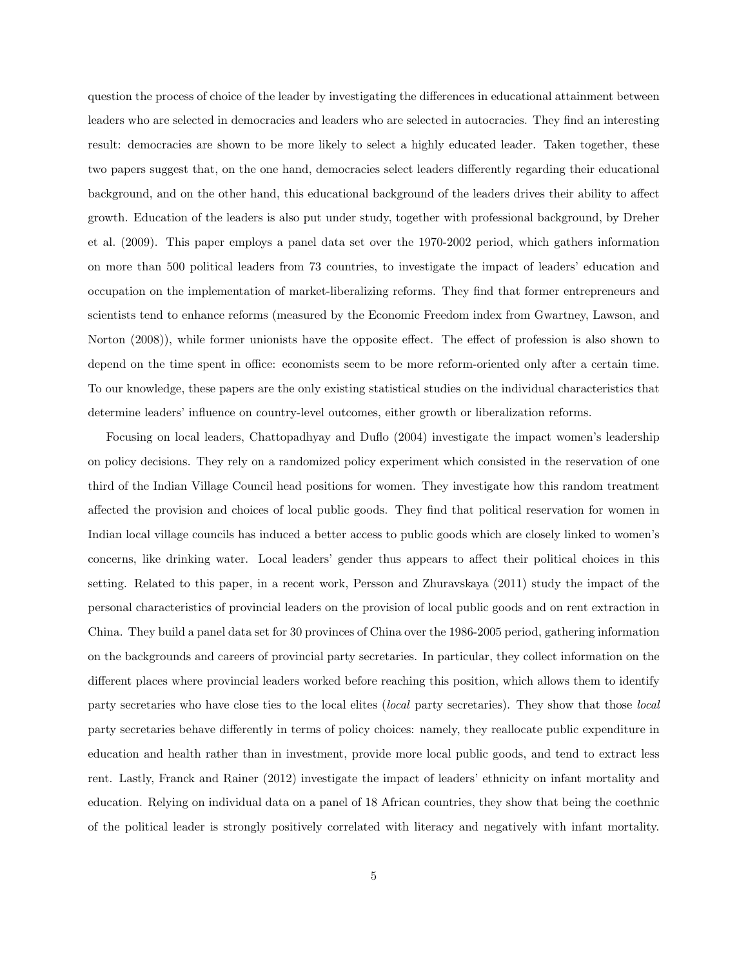question the process of choice of the leader by investigating the differences in educational attainment between leaders who are selected in democracies and leaders who are selected in autocracies. They find an interesting result: democracies are shown to be more likely to select a highly educated leader. Taken together, these two papers suggest that, on the one hand, democracies select leaders differently regarding their educational background, and on the other hand, this educational background of the leaders drives their ability to affect growth. Education of the leaders is also put under study, together with professional background, by Dreher et al. (2009). This paper employs a panel data set over the 1970-2002 period, which gathers information on more than 500 political leaders from 73 countries, to investigate the impact of leaders' education and occupation on the implementation of market-liberalizing reforms. They find that former entrepreneurs and scientists tend to enhance reforms (measured by the Economic Freedom index from Gwartney, Lawson, and Norton (2008)), while former unionists have the opposite effect. The effect of profession is also shown to depend on the time spent in office: economists seem to be more reform-oriented only after a certain time. To our knowledge, these papers are the only existing statistical studies on the individual characteristics that determine leaders' influence on country-level outcomes, either growth or liberalization reforms.

Focusing on local leaders, Chattopadhyay and Duflo (2004) investigate the impact women's leadership on policy decisions. They rely on a randomized policy experiment which consisted in the reservation of one third of the Indian Village Council head positions for women. They investigate how this random treatment affected the provision and choices of local public goods. They find that political reservation for women in Indian local village councils has induced a better access to public goods which are closely linked to women's concerns, like drinking water. Local leaders' gender thus appears to affect their political choices in this setting. Related to this paper, in a recent work, Persson and Zhuravskaya (2011) study the impact of the personal characteristics of provincial leaders on the provision of local public goods and on rent extraction in China. They build a panel data set for 30 provinces of China over the 1986-2005 period, gathering information on the backgrounds and careers of provincial party secretaries. In particular, they collect information on the different places where provincial leaders worked before reaching this position, which allows them to identify party secretaries who have close ties to the local elites (local party secretaries). They show that those local party secretaries behave differently in terms of policy choices: namely, they reallocate public expenditure in education and health rather than in investment, provide more local public goods, and tend to extract less rent. Lastly, Franck and Rainer (2012) investigate the impact of leaders' ethnicity on infant mortality and education. Relying on individual data on a panel of 18 African countries, they show that being the coethnic of the political leader is strongly positively correlated with literacy and negatively with infant mortality.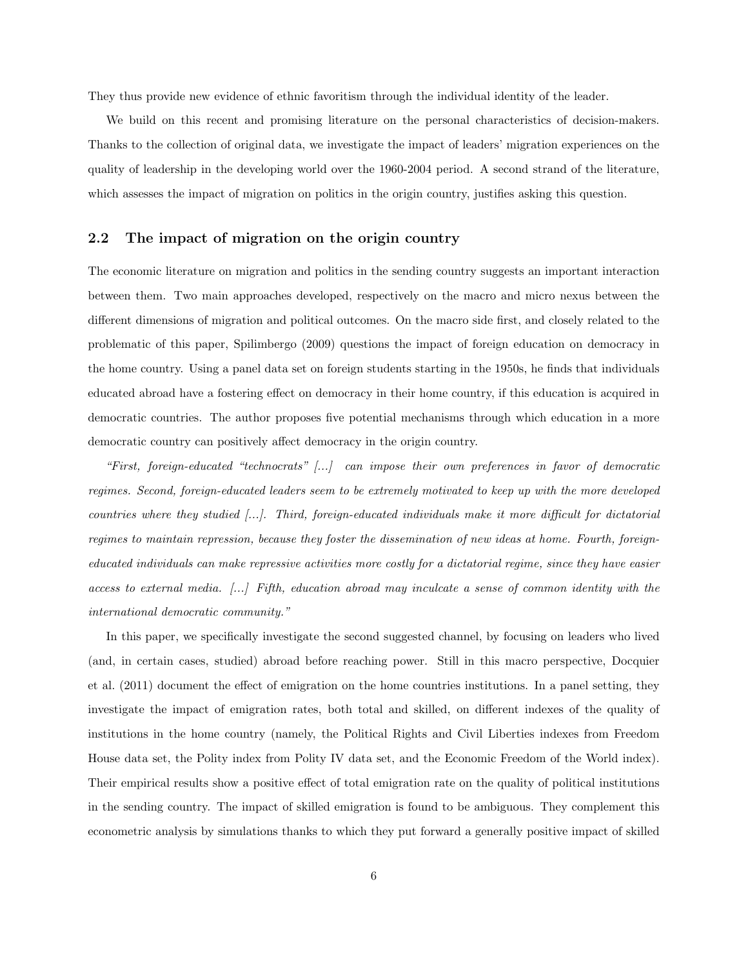They thus provide new evidence of ethnic favoritism through the individual identity of the leader.

We build on this recent and promising literature on the personal characteristics of decision-makers. Thanks to the collection of original data, we investigate the impact of leaders' migration experiences on the quality of leadership in the developing world over the 1960-2004 period. A second strand of the literature, which assesses the impact of migration on politics in the origin country, justifies asking this question.

#### 2.2 The impact of migration on the origin country

The economic literature on migration and politics in the sending country suggests an important interaction between them. Two main approaches developed, respectively on the macro and micro nexus between the different dimensions of migration and political outcomes. On the macro side first, and closely related to the problematic of this paper, Spilimbergo (2009) questions the impact of foreign education on democracy in the home country. Using a panel data set on foreign students starting in the 1950s, he finds that individuals educated abroad have a fostering effect on democracy in their home country, if this education is acquired in democratic countries. The author proposes five potential mechanisms through which education in a more democratic country can positively affect democracy in the origin country.

"First, foreign-educated "technocrats" [...] can impose their own preferences in favor of democratic regimes. Second, foreign-educated leaders seem to be extremely motivated to keep up with the more developed countries where they studied [...]. Third, foreign-educated individuals make it more difficult for dictatorial regimes to maintain repression, because they foster the dissemination of new ideas at home. Fourth, foreigneducated individuals can make repressive activities more costly for a dictatorial regime, since they have easier access to external media. [...] Fifth, education abroad may inculcate a sense of common identity with the international democratic community."

In this paper, we specifically investigate the second suggested channel, by focusing on leaders who lived (and, in certain cases, studied) abroad before reaching power. Still in this macro perspective, Docquier et al. (2011) document the effect of emigration on the home countries institutions. In a panel setting, they investigate the impact of emigration rates, both total and skilled, on different indexes of the quality of institutions in the home country (namely, the Political Rights and Civil Liberties indexes from Freedom House data set, the Polity index from Polity IV data set, and the Economic Freedom of the World index). Their empirical results show a positive effect of total emigration rate on the quality of political institutions in the sending country. The impact of skilled emigration is found to be ambiguous. They complement this econometric analysis by simulations thanks to which they put forward a generally positive impact of skilled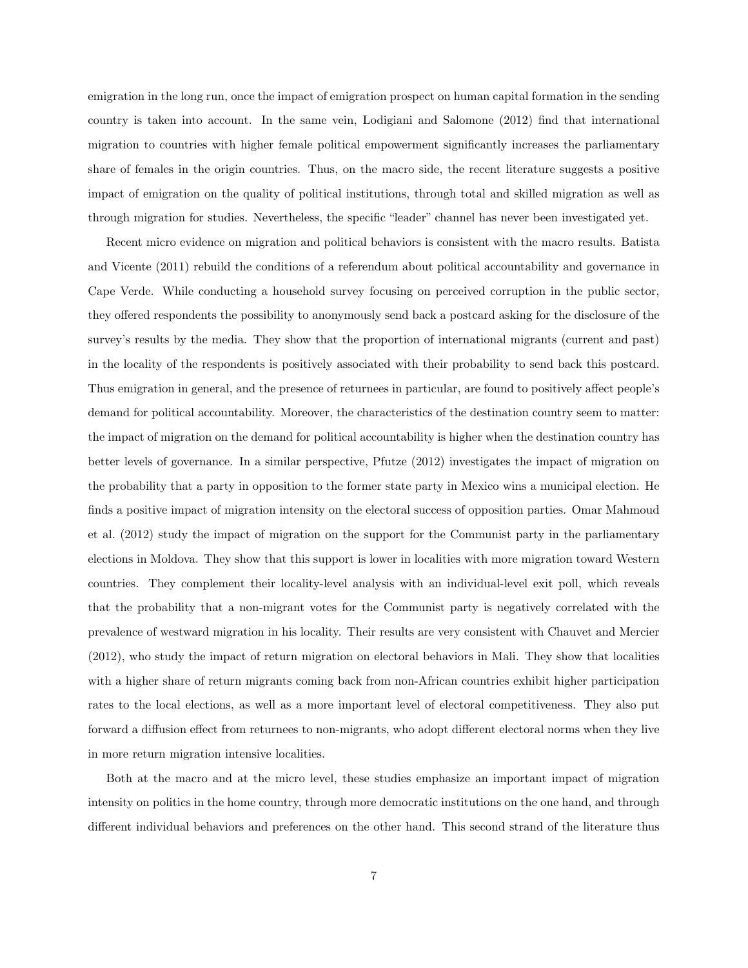emigration in the long run, once the impact of emigration prospect on human capital formation in the sending country is taken into account. In the same vein, Lodigiani and Salomone (2012) find that international migration to countries with higher female political empowerment significantly increases the parliamentary share of females in the origin countries. Thus, on the macro side, the recent literature suggests a positive impact of emigration on the quality of political institutions, through total and skilled migration as well as through migration for studies. Nevertheless, the specific "leader" channel has never been investigated yet.

Recent micro evidence on migration and political behaviors is consistent with the macro results. Batista and Vicente (2011) rebuild the conditions of a referendum about political accountability and governance in Cape Verde. While conducting a household survey focusing on perceived corruption in the public sector, they offered respondents the possibility to anonymously send back a postcard asking for the disclosure of the survey's results by the media. They show that the proportion of international migrants (current and past) in the locality of the respondents is positively associated with their probability to send back this postcard. Thus emigration in general, and the presence of returnees in particular, are found to positively affect people's demand for political accountability. Moreover, the characteristics of the destination country seem to matter: the impact of migration on the demand for political accountability is higher when the destination country has better levels of governance. In a similar perspective, Pfutze (2012) investigates the impact of migration on the probability that a party in opposition to the former state party in Mexico wins a municipal election. He finds a positive impact of migration intensity on the electoral success of opposition parties. Omar Mahmoud et al. (2012) study the impact of migration on the support for the Communist party in the parliamentary elections in Moldova. They show that this support is lower in localities with more migration toward Western countries. They complement their locality-level analysis with an individual-level exit poll, which reveals that the probability that a non-migrant votes for the Communist party is negatively correlated with the prevalence of westward migration in his locality. Their results are very consistent with Chauvet and Mercier (2012), who study the impact of return migration on electoral behaviors in Mali. They show that localities with a higher share of return migrants coming back from non-African countries exhibit higher participation rates to the local elections, as well as a more important level of electoral competitiveness. They also put forward a diffusion effect from returnees to non-migrants, who adopt different electoral norms when they live in more return migration intensive localities.

Both at the macro and at the micro level, these studies emphasize an important impact of migration intensity on politics in the home country, through more democratic institutions on the one hand, and through different individual behaviors and preferences on the other hand. This second strand of the literature thus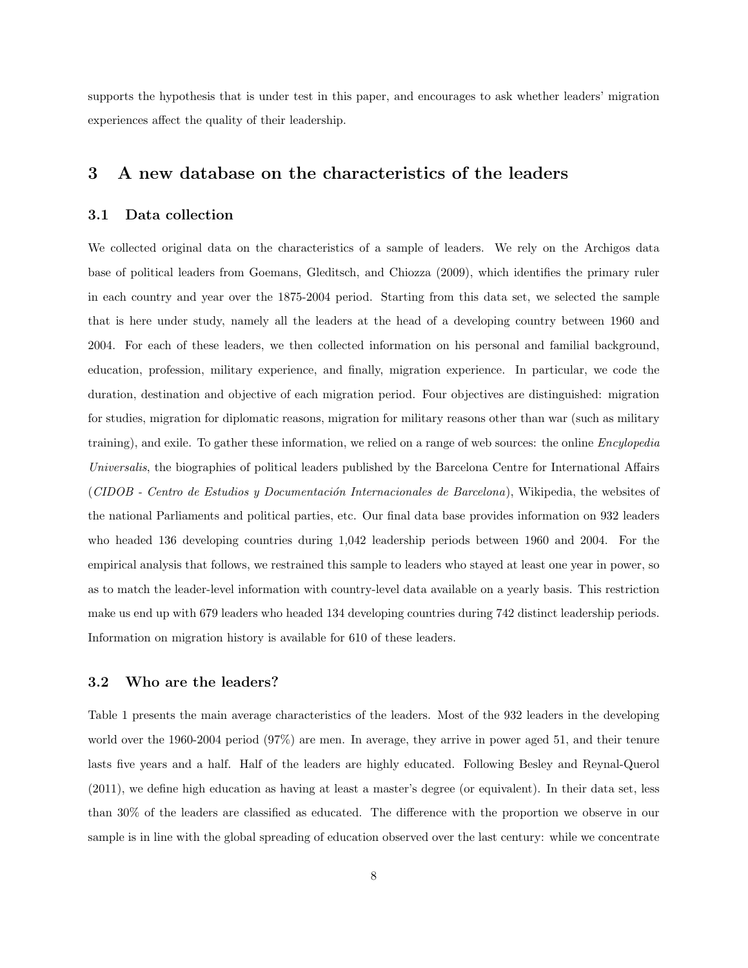supports the hypothesis that is under test in this paper, and encourages to ask whether leaders' migration experiences affect the quality of their leadership.

## 3 A new database on the characteristics of the leaders

#### 3.1 Data collection

We collected original data on the characteristics of a sample of leaders. We rely on the Archigos data base of political leaders from Goemans, Gleditsch, and Chiozza (2009), which identifies the primary ruler in each country and year over the 1875-2004 period. Starting from this data set, we selected the sample that is here under study, namely all the leaders at the head of a developing country between 1960 and 2004. For each of these leaders, we then collected information on his personal and familial background, education, profession, military experience, and finally, migration experience. In particular, we code the duration, destination and objective of each migration period. Four objectives are distinguished: migration for studies, migration for diplomatic reasons, migration for military reasons other than war (such as military training), and exile. To gather these information, we relied on a range of web sources: the online Encylopedia Universalis, the biographies of political leaders published by the Barcelona Centre for International Affairs (CIDOB - Centro de Estudios y Documentación Internacionales de Barcelona), Wikipedia, the websites of the national Parliaments and political parties, etc. Our final data base provides information on 932 leaders who headed 136 developing countries during 1,042 leadership periods between 1960 and 2004. For the empirical analysis that follows, we restrained this sample to leaders who stayed at least one year in power, so as to match the leader-level information with country-level data available on a yearly basis. This restriction make us end up with 679 leaders who headed 134 developing countries during 742 distinct leadership periods. Information on migration history is available for 610 of these leaders.

#### 3.2 Who are the leaders?

Table 1 presents the main average characteristics of the leaders. Most of the 932 leaders in the developing world over the 1960-2004 period (97%) are men. In average, they arrive in power aged 51, and their tenure lasts five years and a half. Half of the leaders are highly educated. Following Besley and Reynal-Querol (2011), we define high education as having at least a master's degree (or equivalent). In their data set, less than 30% of the leaders are classified as educated. The difference with the proportion we observe in our sample is in line with the global spreading of education observed over the last century: while we concentrate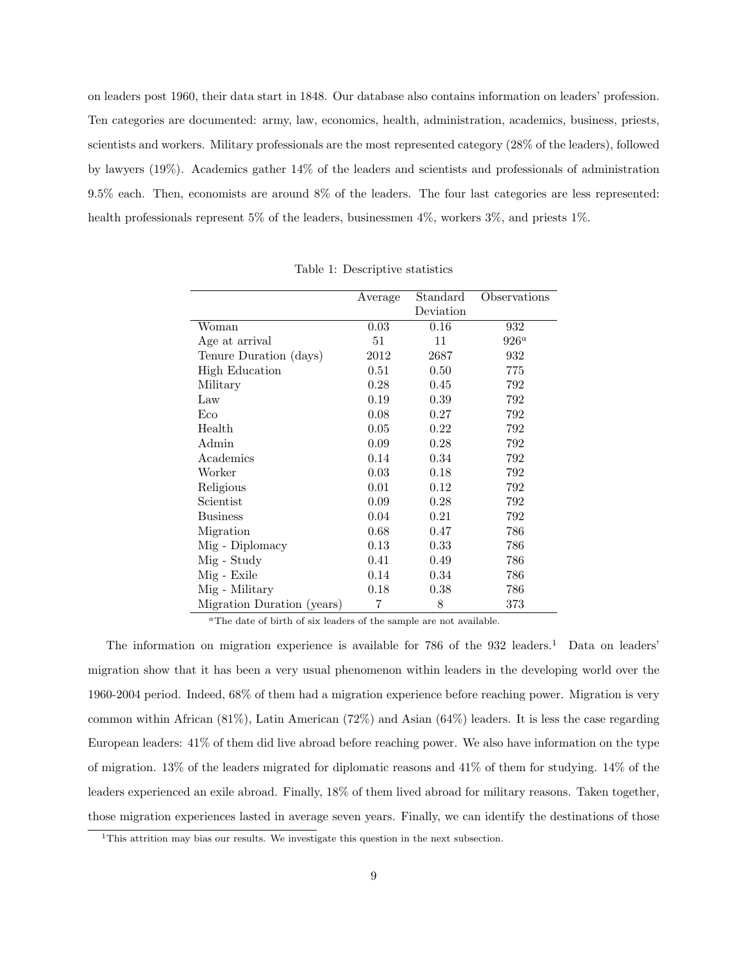on leaders post 1960, their data start in 1848. Our database also contains information on leaders' profession. Ten categories are documented: army, law, economics, health, administration, academics, business, priests, scientists and workers. Military professionals are the most represented category (28% of the leaders), followed by lawyers (19%). Academics gather 14% of the leaders and scientists and professionals of administration 9.5% each. Then, economists are around 8% of the leaders. The four last categories are less represented: health professionals represent 5% of the leaders, businessmen 4%, workers 3%, and priests 1%.

|                            | Average | Standard  | Observations |
|----------------------------|---------|-----------|--------------|
|                            |         | Deviation |              |
| Woman                      | 0.03    | 0.16      | 932          |
| Age at arrival             | 51      | 11        | $926^a$      |
| Tenure Duration (days)     | 2012    | 2687      | 932          |
| <b>High Education</b>      | 0.51    | 0.50      | 775          |
| Military                   | 0.28    | 0.45      | 792          |
| Law                        | 0.19    | 0.39      | 792          |
| Eco                        | 0.08    | 0.27      | 792          |
| Health                     | 0.05    | 0.22      | 792          |
| Admin                      | 0.09    | 0.28      | 792          |
| Academics                  | 0.14    | 0.34      | 792          |
| Worker                     | 0.03    | 0.18      | 792          |
| Religious                  | 0.01    | 0.12      | 792          |
| Scientist                  | 0.09    | 0.28      | 792          |
| <b>Business</b>            | 0.04    | 0.21      | 792          |
| Migration                  | 0.68    | 0.47      | 786          |
| Mig - Diplomacy            | 0.13    | 0.33      | 786          |
| Mig - Study                | 0.41    | 0.49      | 786          |
| Mig - Exile                | 0.14    | 0.34      | 786          |
| Mig - Military             | 0.18    | 0.38      | 786          |
| Migration Duration (years) | 7       | 8         | 373          |

Table 1: Descriptive statistics

<sup>a</sup>The date of birth of six leaders of the sample are not available.

The information on migration experience is available for 786 of the  $932$  leaders.<sup>1</sup> Data on leaders' migration show that it has been a very usual phenomenon within leaders in the developing world over the 1960-2004 period. Indeed, 68% of them had a migration experience before reaching power. Migration is very common within African (81%), Latin American (72%) and Asian (64%) leaders. It is less the case regarding European leaders: 41% of them did live abroad before reaching power. We also have information on the type of migration. 13% of the leaders migrated for diplomatic reasons and 41% of them for studying. 14% of the leaders experienced an exile abroad. Finally, 18% of them lived abroad for military reasons. Taken together, those migration experiences lasted in average seven years. Finally, we can identify the destinations of those

<sup>&</sup>lt;sup>1</sup>This attrition may bias our results. We investigate this question in the next subsection.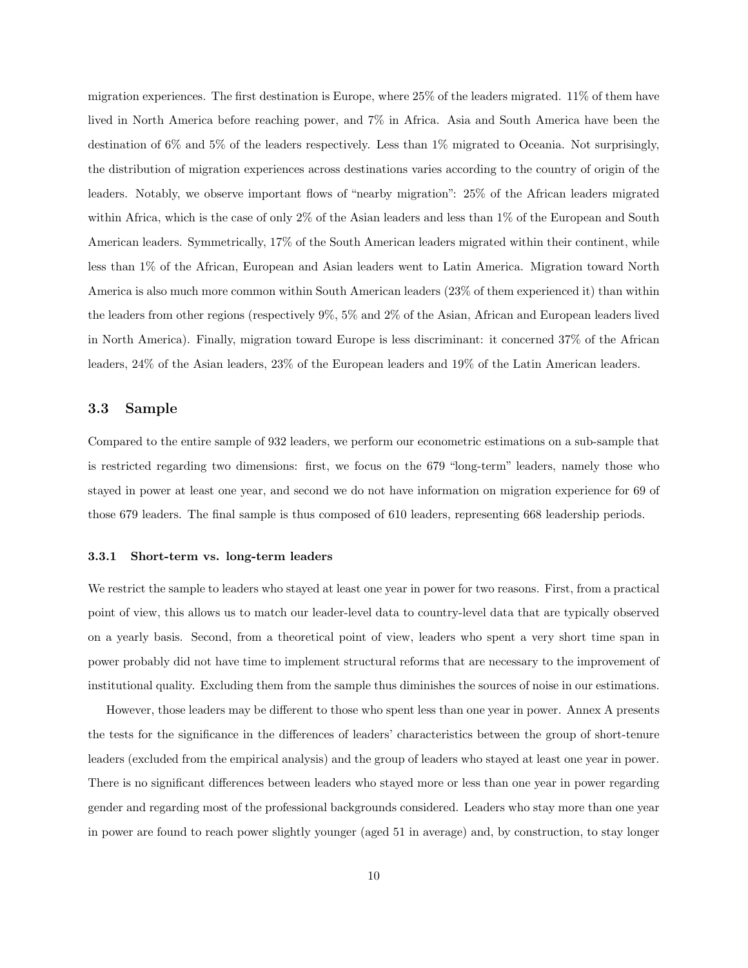migration experiences. The first destination is Europe, where 25% of the leaders migrated. 11% of them have lived in North America before reaching power, and 7% in Africa. Asia and South America have been the destination of 6% and 5% of the leaders respectively. Less than 1% migrated to Oceania. Not surprisingly, the distribution of migration experiences across destinations varies according to the country of origin of the leaders. Notably, we observe important flows of "nearby migration": 25% of the African leaders migrated within Africa, which is the case of only 2% of the Asian leaders and less than 1% of the European and South American leaders. Symmetrically, 17% of the South American leaders migrated within their continent, while less than 1% of the African, European and Asian leaders went to Latin America. Migration toward North America is also much more common within South American leaders (23% of them experienced it) than within the leaders from other regions (respectively 9%, 5% and 2% of the Asian, African and European leaders lived in North America). Finally, migration toward Europe is less discriminant: it concerned 37% of the African leaders, 24% of the Asian leaders, 23% of the European leaders and 19% of the Latin American leaders.

#### 3.3 Sample

Compared to the entire sample of 932 leaders, we perform our econometric estimations on a sub-sample that is restricted regarding two dimensions: first, we focus on the 679 "long-term" leaders, namely those who stayed in power at least one year, and second we do not have information on migration experience for 69 of those 679 leaders. The final sample is thus composed of 610 leaders, representing 668 leadership periods.

#### 3.3.1 Short-term vs. long-term leaders

We restrict the sample to leaders who stayed at least one year in power for two reasons. First, from a practical point of view, this allows us to match our leader-level data to country-level data that are typically observed on a yearly basis. Second, from a theoretical point of view, leaders who spent a very short time span in power probably did not have time to implement structural reforms that are necessary to the improvement of institutional quality. Excluding them from the sample thus diminishes the sources of noise in our estimations.

However, those leaders may be different to those who spent less than one year in power. Annex A presents the tests for the significance in the differences of leaders' characteristics between the group of short-tenure leaders (excluded from the empirical analysis) and the group of leaders who stayed at least one year in power. There is no significant differences between leaders who stayed more or less than one year in power regarding gender and regarding most of the professional backgrounds considered. Leaders who stay more than one year in power are found to reach power slightly younger (aged 51 in average) and, by construction, to stay longer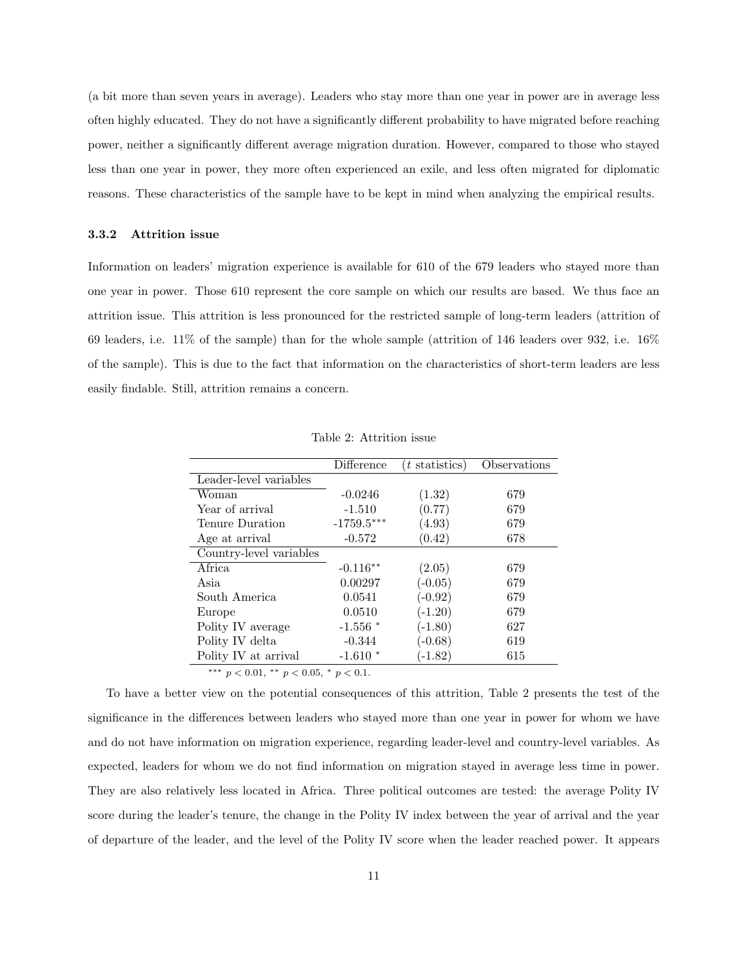(a bit more than seven years in average). Leaders who stay more than one year in power are in average less often highly educated. They do not have a significantly different probability to have migrated before reaching power, neither a significantly different average migration duration. However, compared to those who stayed less than one year in power, they more often experienced an exile, and less often migrated for diplomatic reasons. These characteristics of the sample have to be kept in mind when analyzing the empirical results.

#### 3.3.2 Attrition issue

Information on leaders' migration experience is available for 610 of the 679 leaders who stayed more than one year in power. Those 610 represent the core sample on which our results are based. We thus face an attrition issue. This attrition is less pronounced for the restricted sample of long-term leaders (attrition of 69 leaders, i.e. 11% of the sample) than for the whole sample (attrition of 146 leaders over 932, i.e. 16% of the sample). This is due to the fact that information on the characteristics of short-term leaders are less easily findable. Still, attrition remains a concern.

|                         | Difference   | $(t \text{ statistics})$ | Observations |
|-------------------------|--------------|--------------------------|--------------|
| Leader-level variables  |              |                          |              |
| Woman                   | $-0.0246$    | (1.32)                   | 679          |
| Year of arrival         | $-1.510$     | (0.77)                   | 679          |
| Tenure Duration         | $-1759.5***$ | (4.93)                   | 679          |
| Age at arrival          | $-0.572$     | (0.42)                   | 678          |
| Country-level variables |              |                          |              |
| Africa                  | $-0.116**$   | (2.05)                   | 679          |
| Asia                    | 0.00297      | $(-0.05)$                | 679          |
| South America           | 0.0541       | $(-0.92)$                | 679          |
| Europe                  | 0.0510       | $(-1.20)$                | 679          |
| Polity IV average       | $-1.556$ *   | $(-1.80)$                | 627          |
| Polity IV delta         | $-0.344$     | $(-0.68)$                | 619          |
| Polity IV at arrival    | $-1.610*$    | $(-1.82)$                | 615          |

Table 2: Attrition issue

∗∗∗ p < 0.01, ∗∗ p < 0.05, <sup>∗</sup> p < 0.1.

To have a better view on the potential consequences of this attrition, Table 2 presents the test of the significance in the differences between leaders who stayed more than one year in power for whom we have and do not have information on migration experience, regarding leader-level and country-level variables. As expected, leaders for whom we do not find information on migration stayed in average less time in power. They are also relatively less located in Africa. Three political outcomes are tested: the average Polity IV score during the leader's tenure, the change in the Polity IV index between the year of arrival and the year of departure of the leader, and the level of the Polity IV score when the leader reached power. It appears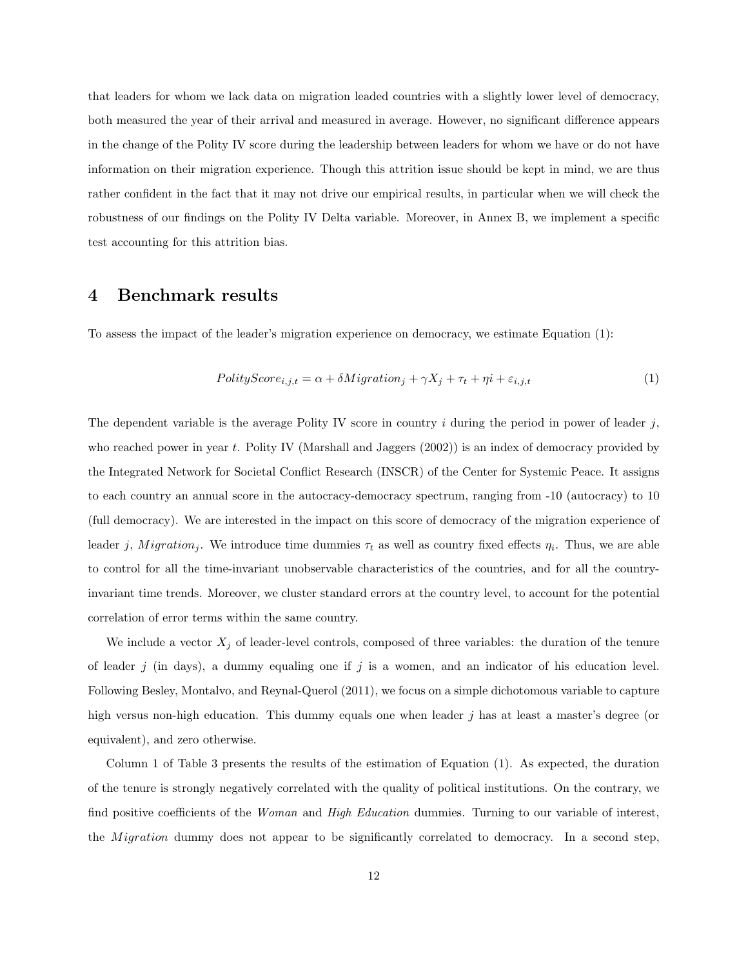that leaders for whom we lack data on migration leaded countries with a slightly lower level of democracy, both measured the year of their arrival and measured in average. However, no significant difference appears in the change of the Polity IV score during the leadership between leaders for whom we have or do not have information on their migration experience. Though this attrition issue should be kept in mind, we are thus rather confident in the fact that it may not drive our empirical results, in particular when we will check the robustness of our findings on the Polity IV Delta variable. Moreover, in Annex B, we implement a specific test accounting for this attrition bias.

## 4 Benchmark results

To assess the impact of the leader's migration experience on democracy, we estimate Equation (1):

$$
PolicyScore_{i,j,t} = \alpha + \delta Migration_j + \gamma X_j + \tau_t + \eta i + \varepsilon_{i,j,t}
$$
\n
$$
\tag{1}
$$

The dependent variable is the average Polity IV score in country  $i$  during the period in power of leader  $j$ , who reached power in year t. Polity IV (Marshall and Jaggers  $(2002)$ ) is an index of democracy provided by the Integrated Network for Societal Conflict Research (INSCR) of the Center for Systemic Peace. It assigns to each country an annual score in the autocracy-democracy spectrum, ranging from -10 (autocracy) to 10 (full democracy). We are interested in the impact on this score of democracy of the migration experience of leader j, Migration<sub>j</sub>. We introduce time dummies  $\tau_t$  as well as country fixed effects  $\eta_i$ . Thus, we are able to control for all the time-invariant unobservable characteristics of the countries, and for all the countryinvariant time trends. Moreover, we cluster standard errors at the country level, to account for the potential correlation of error terms within the same country.

We include a vector  $X_j$  of leader-level controls, composed of three variables: the duration of the tenure of leader  $j$  (in days), a dummy equaling one if  $j$  is a women, and an indicator of his education level. Following Besley, Montalvo, and Reynal-Querol (2011), we focus on a simple dichotomous variable to capture high versus non-high education. This dummy equals one when leader j has at least a master's degree (or equivalent), and zero otherwise.

Column 1 of Table 3 presents the results of the estimation of Equation (1). As expected, the duration of the tenure is strongly negatively correlated with the quality of political institutions. On the contrary, we find positive coefficients of the *Woman* and *High Education* dummies. Turning to our variable of interest, the *Migration* dummy does not appear to be significantly correlated to democracy. In a second step,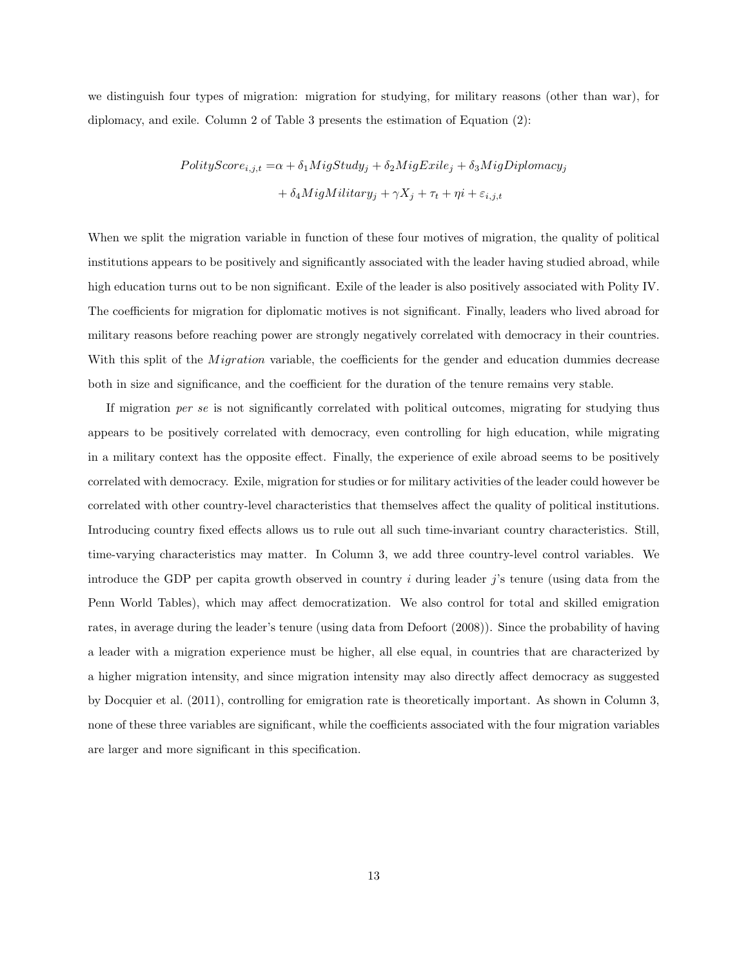we distinguish four types of migration: migration for studying, for military reasons (other than war), for diplomacy, and exile. Column 2 of Table 3 presents the estimation of Equation (2):

$$
PolityScore_{i,j,t} = \alpha + \delta_1MigStudy_j + \delta_2MigExile_j + \delta_3MigDiplomacy_j
$$

$$
+ \delta_4MigMilitary_j + \gamma X_j + \tau_t + \eta i + \varepsilon_{i,j,t}
$$

When we split the migration variable in function of these four motives of migration, the quality of political institutions appears to be positively and significantly associated with the leader having studied abroad, while high education turns out to be non significant. Exile of the leader is also positively associated with Polity IV. The coefficients for migration for diplomatic motives is not significant. Finally, leaders who lived abroad for military reasons before reaching power are strongly negatively correlated with democracy in their countries. With this split of the *Migration* variable, the coefficients for the gender and education dummies decrease both in size and significance, and the coefficient for the duration of the tenure remains very stable.

If migration per se is not significantly correlated with political outcomes, migrating for studying thus appears to be positively correlated with democracy, even controlling for high education, while migrating in a military context has the opposite effect. Finally, the experience of exile abroad seems to be positively correlated with democracy. Exile, migration for studies or for military activities of the leader could however be correlated with other country-level characteristics that themselves affect the quality of political institutions. Introducing country fixed effects allows us to rule out all such time-invariant country characteristics. Still, time-varying characteristics may matter. In Column 3, we add three country-level control variables. We introduce the GDP per capita growth observed in country  $i$  during leader  $j$ 's tenure (using data from the Penn World Tables), which may affect democratization. We also control for total and skilled emigration rates, in average during the leader's tenure (using data from Defoort (2008)). Since the probability of having a leader with a migration experience must be higher, all else equal, in countries that are characterized by a higher migration intensity, and since migration intensity may also directly affect democracy as suggested by Docquier et al. (2011), controlling for emigration rate is theoretically important. As shown in Column 3, none of these three variables are significant, while the coefficients associated with the four migration variables are larger and more significant in this specification.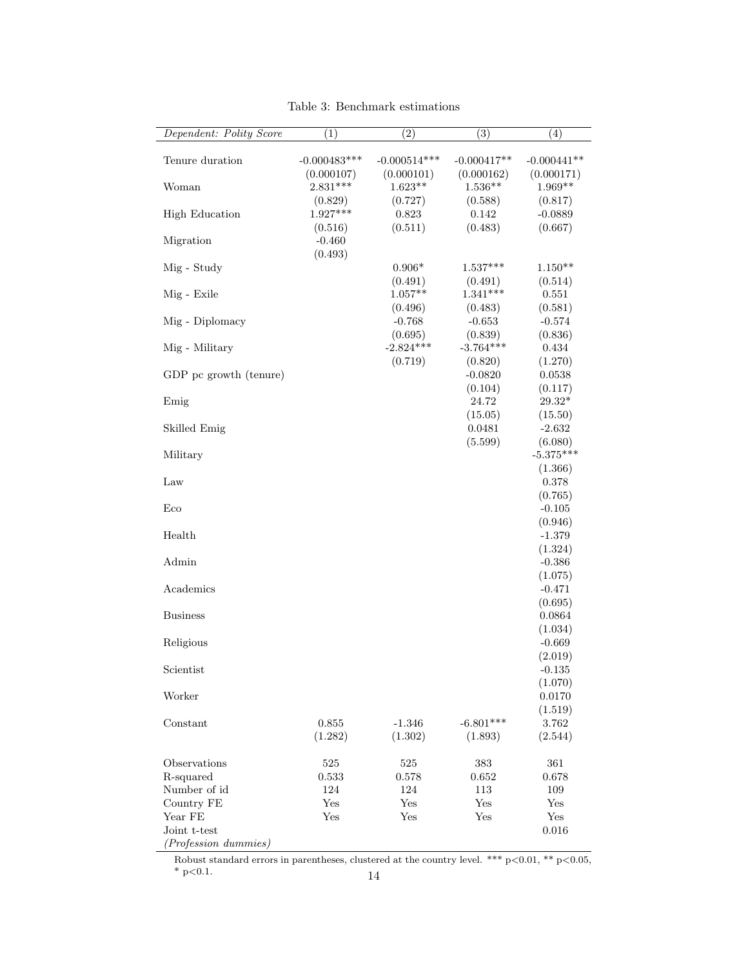| Dependent: Polity Score                                                                                    | (1)                               | (2)                               | (3)                               | $\left( 4\right)$                          |
|------------------------------------------------------------------------------------------------------------|-----------------------------------|-----------------------------------|-----------------------------------|--------------------------------------------|
| Tenure duration                                                                                            | $-0.000483***$<br>(0.000107)      | $-0.000514***$<br>(0.000101)      | $-0.000417**$<br>(0.000162)       | $-0.000441**$<br>(0.000171)                |
| Woman                                                                                                      | $2.831***$                        | $1.623**$<br>(0.727)              | $1.536**$                         | $1.969**$                                  |
| <b>High Education</b>                                                                                      | (0.829)<br>$1.927***$             | 0.823                             | (0.588)<br>0.142                  | (0.817)<br>$-0.0889$                       |
| Migration                                                                                                  | (0.516)<br>$-0.460$<br>(0.493)    | (0.511)                           | (0.483)                           | (0.667)                                    |
| Mig - Study                                                                                                |                                   | $0.906*$                          | $1.537***$<br>(0.491)             | $1.150**$<br>(0.514)                       |
| Mig - Exile                                                                                                |                                   | (0.491)<br>$1.057**$              | $1.341***$                        | 0.551                                      |
| Mig - Diplomacy                                                                                            |                                   | (0.496)<br>$-0.768$               | (0.483)<br>$-0.653$               | (0.581)<br>$-0.574$                        |
| Mig - Military                                                                                             |                                   | (0.695)<br>$-2.824***$<br>(0.719) | (0.839)<br>$-3.764***$            | (0.836)<br>0.434                           |
| GDP pc growth (tenure)                                                                                     |                                   |                                   | (0.820)<br>$-0.0820$              | (1.270)<br>0.0538                          |
| Emig                                                                                                       |                                   |                                   | (0.104)<br>24.72                  | (0.117)<br>$29.32*$                        |
| Skilled Emig                                                                                               |                                   |                                   | (15.05)<br>0.0481                 | (15.50)<br>$-2.632$                        |
| Military                                                                                                   |                                   |                                   | (5.599)                           | (6.080)<br>$-5.375***$                     |
| Law                                                                                                        |                                   |                                   |                                   | (1.366)<br>0.378                           |
| Eco                                                                                                        |                                   |                                   |                                   | (0.765)<br>$-0.105$                        |
| Health                                                                                                     |                                   |                                   |                                   | (0.946)<br>$-1.379$                        |
| Admin                                                                                                      |                                   |                                   |                                   | (1.324)<br>$-0.386$                        |
| Academics                                                                                                  |                                   |                                   |                                   | (1.075)<br>$-0.471$                        |
| <b>Business</b>                                                                                            |                                   |                                   |                                   | (0.695)<br>0.0864                          |
| Religious                                                                                                  |                                   |                                   |                                   | (1.034)<br>$-0.669$                        |
| Scientist                                                                                                  |                                   |                                   |                                   | (2.019)<br>$-0.135$                        |
| Worker                                                                                                     |                                   |                                   |                                   | (1.070)<br>0.0170                          |
| Constant                                                                                                   | 0.855<br>(1.282)                  | $-1.346$<br>(1.302)               | $-6.801***$<br>(1.893)            | (1.519)<br>3.762<br>(2.544)                |
| Observations<br>R-squared<br>Number of id<br>Country FE<br>Year FE<br>Joint t-test<br>(Profession dummies) | 525<br>0.533<br>124<br>Yes<br>Yes | 525<br>0.578<br>124<br>Yes<br>Yes | 383<br>0.652<br>113<br>Yes<br>Yes | 361<br>0.678<br>109<br>Yes<br>Yes<br>0.016 |

Table 3: Benchmark estimations

Robust standard errors in parentheses, clustered at the country level. \*\*\*  $p<0.01$ , \*\*  $p<0.05$ ,  $*$  p<0.1. 14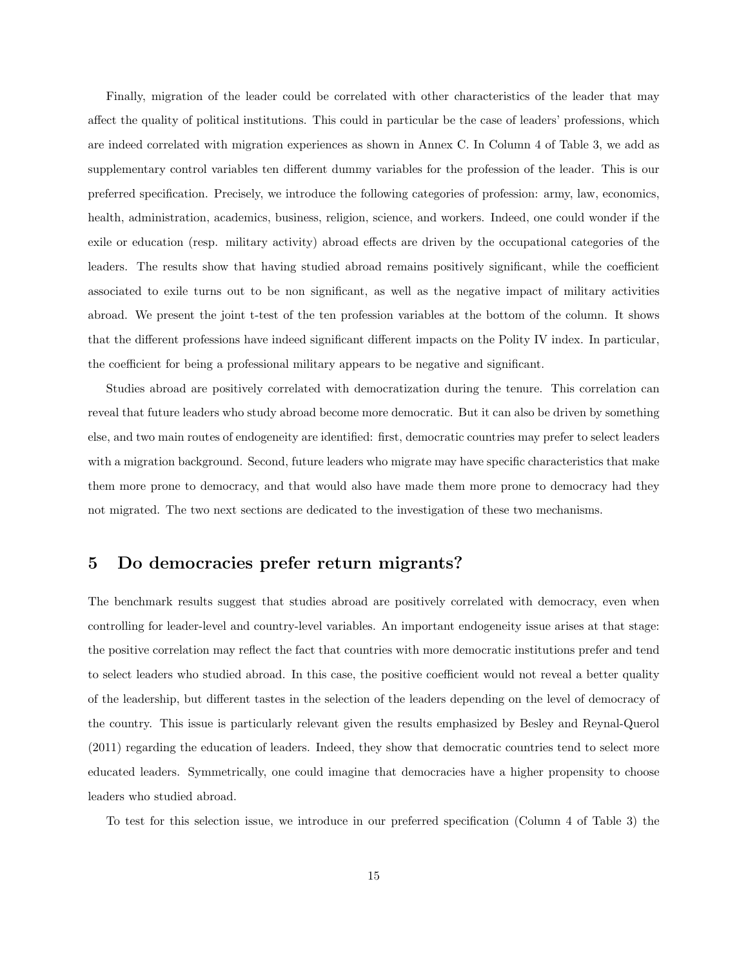Finally, migration of the leader could be correlated with other characteristics of the leader that may affect the quality of political institutions. This could in particular be the case of leaders' professions, which are indeed correlated with migration experiences as shown in Annex C. In Column 4 of Table 3, we add as supplementary control variables ten different dummy variables for the profession of the leader. This is our preferred specification. Precisely, we introduce the following categories of profession: army, law, economics, health, administration, academics, business, religion, science, and workers. Indeed, one could wonder if the exile or education (resp. military activity) abroad effects are driven by the occupational categories of the leaders. The results show that having studied abroad remains positively significant, while the coefficient associated to exile turns out to be non significant, as well as the negative impact of military activities abroad. We present the joint t-test of the ten profession variables at the bottom of the column. It shows that the different professions have indeed significant different impacts on the Polity IV index. In particular, the coefficient for being a professional military appears to be negative and significant.

Studies abroad are positively correlated with democratization during the tenure. This correlation can reveal that future leaders who study abroad become more democratic. But it can also be driven by something else, and two main routes of endogeneity are identified: first, democratic countries may prefer to select leaders with a migration background. Second, future leaders who migrate may have specific characteristics that make them more prone to democracy, and that would also have made them more prone to democracy had they not migrated. The two next sections are dedicated to the investigation of these two mechanisms.

# 5 Do democracies prefer return migrants?

The benchmark results suggest that studies abroad are positively correlated with democracy, even when controlling for leader-level and country-level variables. An important endogeneity issue arises at that stage: the positive correlation may reflect the fact that countries with more democratic institutions prefer and tend to select leaders who studied abroad. In this case, the positive coefficient would not reveal a better quality of the leadership, but different tastes in the selection of the leaders depending on the level of democracy of the country. This issue is particularly relevant given the results emphasized by Besley and Reynal-Querol (2011) regarding the education of leaders. Indeed, they show that democratic countries tend to select more educated leaders. Symmetrically, one could imagine that democracies have a higher propensity to choose leaders who studied abroad.

To test for this selection issue, we introduce in our preferred specification (Column 4 of Table 3) the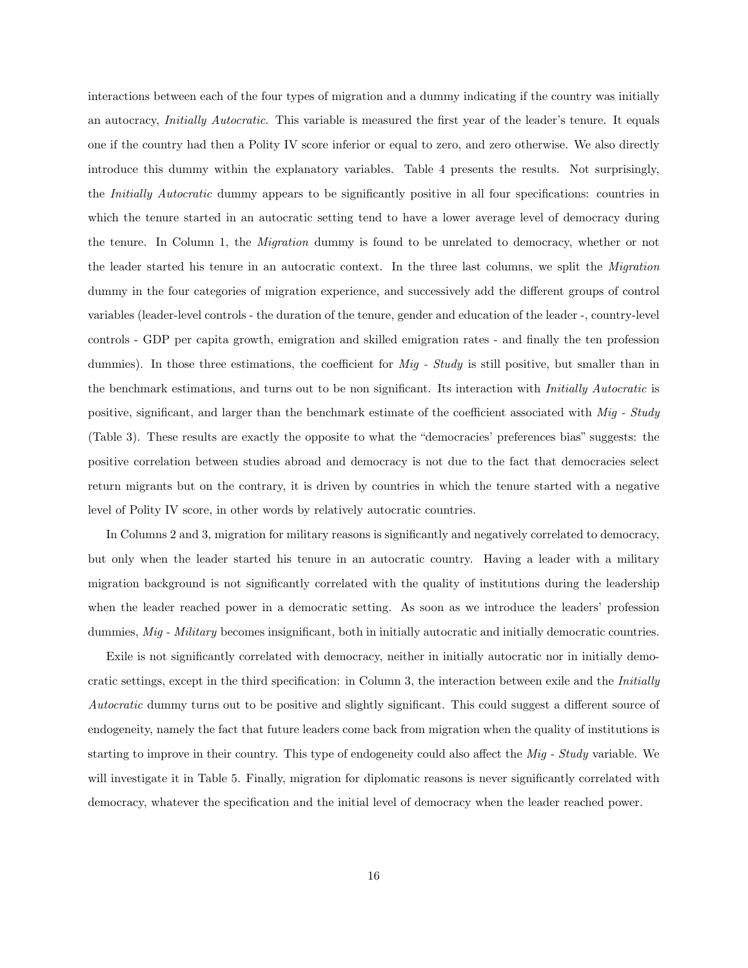interactions between each of the four types of migration and a dummy indicating if the country was initially an autocracy, Initially Autocratic. This variable is measured the first year of the leader's tenure. It equals one if the country had then a Polity IV score inferior or equal to zero, and zero otherwise. We also directly introduce this dummy within the explanatory variables. Table 4 presents the results. Not surprisingly, the Initially Autocratic dummy appears to be significantly positive in all four specifications: countries in which the tenure started in an autocratic setting tend to have a lower average level of democracy during the tenure. In Column 1, the Migration dummy is found to be unrelated to democracy, whether or not the leader started his tenure in an autocratic context. In the three last columns, we split the *Migration* dummy in the four categories of migration experience, and successively add the different groups of control variables (leader-level controls - the duration of the tenure, gender and education of the leader -, country-level controls - GDP per capita growth, emigration and skilled emigration rates - and finally the ten profession dummies). In those three estimations, the coefficient for Mig - Study is still positive, but smaller than in the benchmark estimations, and turns out to be non significant. Its interaction with Initially Autocratic is positive, significant, and larger than the benchmark estimate of the coefficient associated with Mig - Study (Table 3). These results are exactly the opposite to what the "democracies' preferences bias" suggests: the positive correlation between studies abroad and democracy is not due to the fact that democracies select return migrants but on the contrary, it is driven by countries in which the tenure started with a negative level of Polity IV score, in other words by relatively autocratic countries.

In Columns 2 and 3, migration for military reasons is significantly and negatively correlated to democracy, but only when the leader started his tenure in an autocratic country. Having a leader with a military migration background is not significantly correlated with the quality of institutions during the leadership when the leader reached power in a democratic setting. As soon as we introduce the leaders' profession dummies, Mig - Military becomes insignificant, both in initially autocratic and initially democratic countries.

Exile is not significantly correlated with democracy, neither in initially autocratic nor in initially democratic settings, except in the third specification: in Column 3, the interaction between exile and the Initially Autocratic dummy turns out to be positive and slightly significant. This could suggest a different source of endogeneity, namely the fact that future leaders come back from migration when the quality of institutions is starting to improve in their country. This type of endogeneity could also affect the Mig - Study variable. We will investigate it in Table 5. Finally, migration for diplomatic reasons is never significantly correlated with democracy, whatever the specification and the initial level of democracy when the leader reached power.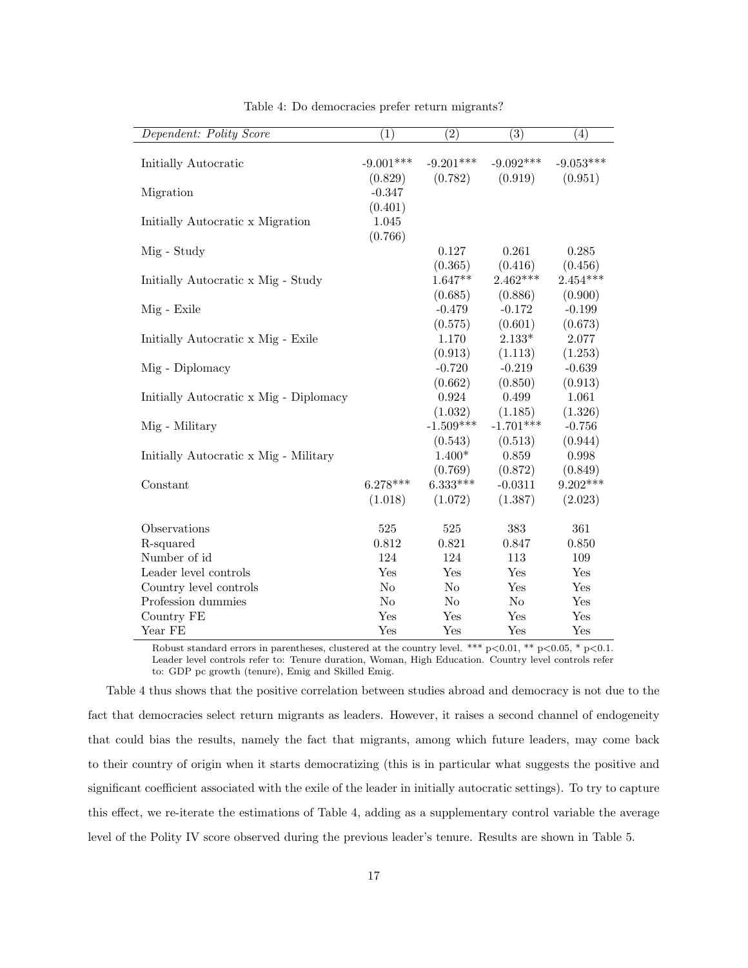| Dependent: Polity Score                | $\left( 1\right)$ | (2)            | (3)            | (4)         |
|----------------------------------------|-------------------|----------------|----------------|-------------|
|                                        |                   |                |                |             |
| Initially Autocratic                   | $-9.001***$       | $-9.201***$    | $-9.092***$    | $-9.053***$ |
|                                        | (0.829)           | (0.782)        | (0.919)        | (0.951)     |
| Migration                              | $-0.347$          |                |                |             |
|                                        | (0.401)           |                |                |             |
| Initially Autocratic x Migration       | 1.045             |                |                |             |
|                                        | (0.766)           |                |                |             |
| Mig - Study                            |                   | 0.127          | 0.261          | 0.285       |
|                                        |                   | (0.365)        | (0.416)        | (0.456)     |
| Initially Autocratic x Mig - Study     |                   | $1.647**$      | $2.462***$     | $2.454***$  |
|                                        |                   | (0.685)        | (0.886)        | (0.900)     |
| Mig - Exile                            |                   | $-0.479$       | $-0.172$       | $-0.199$    |
|                                        |                   | (0.575)        | (0.601)        | (0.673)     |
| Initially Autocratic x Mig - Exile     |                   | 1.170          | $2.133*$       | 2.077       |
|                                        |                   | (0.913)        | (1.113)        | (1.253)     |
| Mig - Diplomacy                        |                   | $-0.720$       | $-0.219$       | $-0.639$    |
|                                        |                   | (0.662)        | (0.850)        | (0.913)     |
| Initially Autocratic x Mig - Diplomacy |                   | 0.924          | 0.499          | 1.061       |
|                                        |                   | (1.032)        | (1.185)        | (1.326)     |
| Mig - Military                         |                   | $-1.509***$    | $-1.701***$    | $-0.756$    |
|                                        |                   | (0.543)        | (0.513)        | (0.944)     |
| Initially Autocratic x Mig - Military  |                   | $1.400*$       | 0.859          | 0.998       |
|                                        |                   | (0.769)        | (0.872)        | (0.849)     |
| Constant                               | $6.278***$        | $6.333***$     | $-0.0311$      | $9.202***$  |
|                                        | (1.018)           | (1.072)        | (1.387)        | (2.023)     |
|                                        |                   |                |                |             |
| Observations                           | 525               | 525            | 383            | 361         |
| R-squared                              | 0.812             | 0.821          | 0.847          | 0.850       |
| Number of id                           | 124               | 124            | 113            | 109         |
| Leader level controls                  | Yes               | Yes            | Yes            | Yes         |
| Country level controls                 | N <sub>o</sub>    | N <sub>o</sub> | Yes            | Yes         |
| Profession dummies                     | N <sub>o</sub>    | No             | N <sub>o</sub> | Yes         |
| Country FE                             | Yes               | Yes            | Yes            | Yes         |
| Year FE                                | Yes               | Yes            | Yes            | Yes         |

Table 4: Do democracies prefer return migrants?

Robust standard errors in parentheses, clustered at the country level. \*\*\*  $p<0.01$ , \*\*  $p<0.05$ , \*  $p<0.1$ . Leader level controls refer to: Tenure duration, Woman, High Education. Country level controls refer to: GDP pc growth (tenure), Emig and Skilled Emig.

Table 4 thus shows that the positive correlation between studies abroad and democracy is not due to the fact that democracies select return migrants as leaders. However, it raises a second channel of endogeneity that could bias the results, namely the fact that migrants, among which future leaders, may come back to their country of origin when it starts democratizing (this is in particular what suggests the positive and significant coefficient associated with the exile of the leader in initially autocratic settings). To try to capture this effect, we re-iterate the estimations of Table 4, adding as a supplementary control variable the average level of the Polity IV score observed during the previous leader's tenure. Results are shown in Table 5.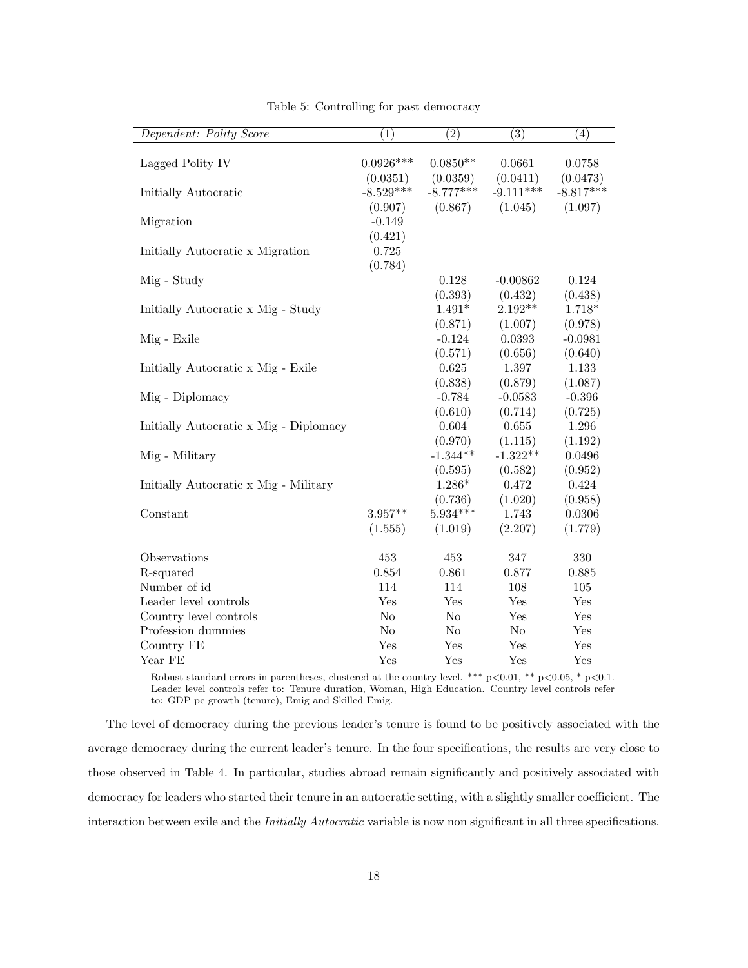| Dependent: Polity Score                | (1)            | (2)            | (3)         | (4)         |
|----------------------------------------|----------------|----------------|-------------|-------------|
|                                        |                |                |             |             |
| Lagged Polity IV                       | $0.0926***$    | $0.0850**$     | 0.0661      | 0.0758      |
|                                        | (0.0351)       | (0.0359)       | (0.0411)    | (0.0473)    |
| Initially Autocratic                   | $-8.529***$    | $-8.777***$    | $-9.111***$ | $-8.817***$ |
|                                        | (0.907)        | (0.867)        | (1.045)     | (1.097)     |
| Migration                              | $-0.149$       |                |             |             |
|                                        | (0.421)        |                |             |             |
| Initially Autocratic x Migration       | 0.725          |                |             |             |
|                                        | (0.784)        |                |             |             |
| Mig - Study                            |                | 0.128          | $-0.00862$  | 0.124       |
|                                        |                | (0.393)        | (0.432)     | (0.438)     |
| Initially Autocratic x Mig - Study     |                | $1.491*$       | $2.192**$   | $1.718*$    |
|                                        |                | (0.871)        | (1.007)     | (0.978)     |
| Mig - Exile                            |                | $-0.124$       | 0.0393      | $-0.0981$   |
|                                        |                | (0.571)        | (0.656)     | (0.640)     |
| Initially Autocratic x Mig - Exile     |                | 0.625          | 1.397       | 1.133       |
|                                        |                | (0.838)        | (0.879)     | (1.087)     |
| Mig - Diplomacy                        |                | $-0.784$       | $-0.0583$   | $-0.396$    |
|                                        |                | (0.610)        | (0.714)     | (0.725)     |
| Initially Autocratic x Mig - Diplomacy |                | 0.604          | 0.655       | 1.296       |
|                                        |                | (0.970)        | (1.115)     | (1.192)     |
| Mig - Military                         |                | $-1.344**$     | $-1.322**$  | 0.0496      |
|                                        |                | (0.595)        | (0.582)     | (0.952)     |
| Initially Autocratic x Mig - Military  |                | $1.286*$       | 0.472       | 0.424       |
|                                        |                | (0.736)        | (1.020)     | (0.958)     |
| Constant                               | $3.957**$      | $5.934***$     | 1.743       | 0.0306      |
|                                        | (1.555)        | (1.019)        | (2.207)     | (1.779)     |
| Observations                           | 453            | 453            | 347         | 330         |
| R-squared                              | 0.854          | 0.861          | 0.877       | 0.885       |
| Number of id                           | 114            | 114            | 108         | 105         |
| Leader level controls                  | Yes            | Yes            | Yes         | Yes         |
| Country level controls                 | N <sub>o</sub> | N <sub>o</sub> | Yes         | Yes         |
| Profession dummies                     | No             | No             | No          | Yes         |
| Country FE                             | Yes            | Yes            | Yes         | Yes         |
| Year FE                                | Yes            | Yes            | Yes         | Yes         |

Table 5: Controlling for past democracy

Robust standard errors in parentheses, clustered at the country level. \*\*\* p<0.01, \*\* p<0.05, \* p<0.1. Leader level controls refer to: Tenure duration, Woman, High Education. Country level controls refer to: GDP pc growth (tenure), Emig and Skilled Emig.

The level of democracy during the previous leader's tenure is found to be positively associated with the average democracy during the current leader's tenure. In the four specifications, the results are very close to those observed in Table 4. In particular, studies abroad remain significantly and positively associated with democracy for leaders who started their tenure in an autocratic setting, with a slightly smaller coefficient. The interaction between exile and the *Initially Autocratic* variable is now non significant in all three specifications.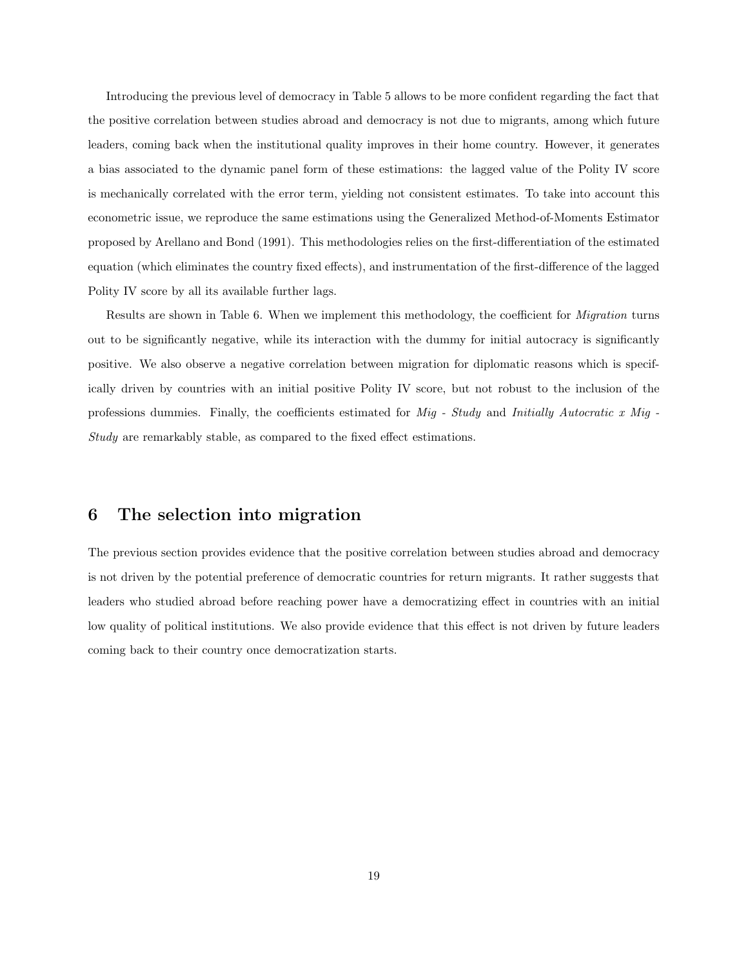Introducing the previous level of democracy in Table 5 allows to be more confident regarding the fact that the positive correlation between studies abroad and democracy is not due to migrants, among which future leaders, coming back when the institutional quality improves in their home country. However, it generates a bias associated to the dynamic panel form of these estimations: the lagged value of the Polity IV score is mechanically correlated with the error term, yielding not consistent estimates. To take into account this econometric issue, we reproduce the same estimations using the Generalized Method-of-Moments Estimator proposed by Arellano and Bond (1991). This methodologies relies on the first-differentiation of the estimated equation (which eliminates the country fixed effects), and instrumentation of the first-difference of the lagged Polity IV score by all its available further lags.

Results are shown in Table 6. When we implement this methodology, the coefficient for *Migration* turns out to be significantly negative, while its interaction with the dummy for initial autocracy is significantly positive. We also observe a negative correlation between migration for diplomatic reasons which is specifically driven by countries with an initial positive Polity IV score, but not robust to the inclusion of the professions dummies. Finally, the coefficients estimated for  $Mig$  - Study and Initially Autocratic x Mig -Study are remarkably stable, as compared to the fixed effect estimations.

## 6 The selection into migration

The previous section provides evidence that the positive correlation between studies abroad and democracy is not driven by the potential preference of democratic countries for return migrants. It rather suggests that leaders who studied abroad before reaching power have a democratizing effect in countries with an initial low quality of political institutions. We also provide evidence that this effect is not driven by future leaders coming back to their country once democratization starts.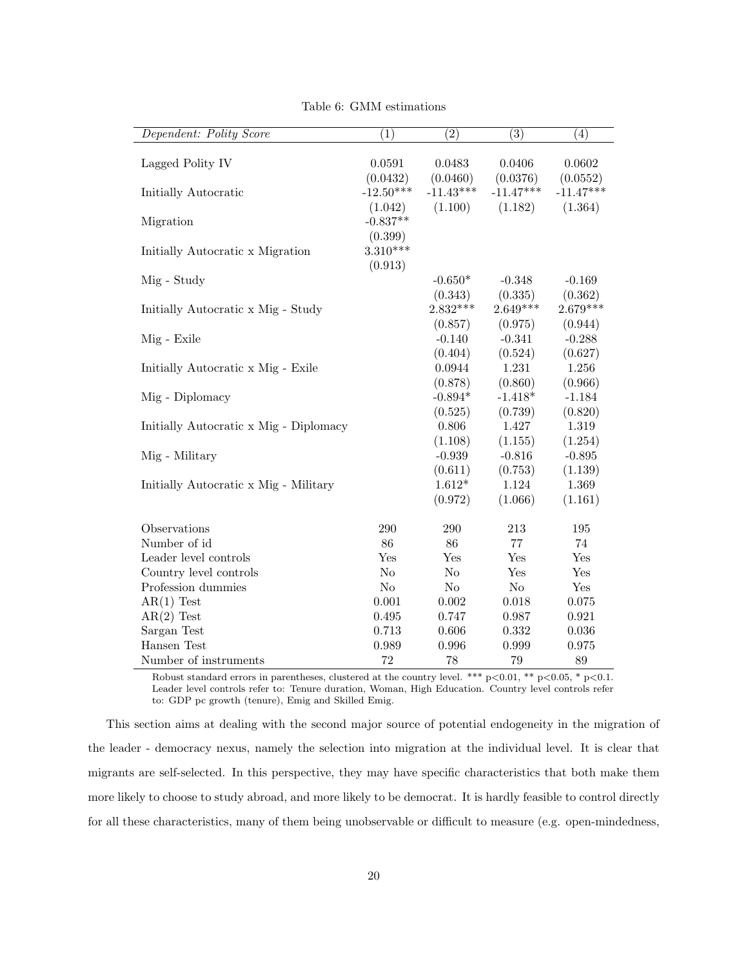| Dependent: Polity Score                | (1)         | $\overline{2})$ | $\overline{(3)}$ | $\left(4\right)$ |
|----------------------------------------|-------------|-----------------|------------------|------------------|
|                                        |             |                 |                  |                  |
| Lagged Polity IV                       | 0.0591      | 0.0483          | 0.0406           | 0.0602           |
|                                        | (0.0432)    | (0.0460)        | (0.0376)         | (0.0552)         |
| Initially Autocratic                   | $-12.50***$ | $-11.43***$     | $-11.47***$      | $-11.47***$      |
|                                        | (1.042)     | (1.100)         | (1.182)          | (1.364)          |
| Migration                              | $-0.837**$  |                 |                  |                  |
|                                        | (0.399)     |                 |                  |                  |
| Initially Autocratic x Migration       | $3.310***$  |                 |                  |                  |
|                                        | (0.913)     |                 |                  |                  |
| Mig - Study                            |             | $-0.650*$       | $-0.348$         | $-0.169$         |
|                                        |             | (0.343)         | (0.335)          | (0.362)          |
| Initially Autocratic x Mig - Study     |             | $2.832***$      | $2.649***$       | $2.679***$       |
|                                        |             | (0.857)         | (0.975)          | (0.944)          |
| Mig - Exile                            |             | $-0.140$        | $-0.341$         | $-0.288$         |
|                                        |             | (0.404)         | (0.524)          | (0.627)          |
| Initially Autocratic x Mig - Exile     |             | 0.0944          | 1.231            | 1.256            |
|                                        |             | (0.878)         | (0.860)          | (0.966)          |
| Mig - Diplomacy                        |             | $-0.894*$       | $-1.418*$        | $-1.184$         |
|                                        |             | (0.525)         | (0.739)          | (0.820)          |
| Initially Autocratic x Mig - Diplomacy |             | 0.806           | 1.427            | 1.319            |
|                                        |             | (1.108)         | (1.155)          | (1.254)          |
| Mig - Military                         |             | $-0.939$        | $-0.816$         | $-0.895$         |
|                                        |             | (0.611)         | (0.753)          | (1.139)          |
| Initially Autocratic x Mig - Military  |             | $1.612*$        | 1.124            | 1.369            |
|                                        |             | (0.972)         | (1.066)          | (1.161)          |
| Observations                           | 290         | 290             | 213              | 195              |
| Number of id                           | 86          | 86              | 77               | 74               |
| Leader level controls                  | Yes         | Yes             | Yes              | Yes              |
| Country level controls                 | No          | No              | Yes              | Yes              |
| Profession dummies                     | No          | $\rm No$        | $\rm No$         | Yes              |
| $AR(1)$ Test                           | 0.001       | 0.002           | 0.018            | 0.075            |
| $AR(2)$ Test                           | 0.495       | 0.747           | 0.987            | 0.921            |
| Sargan Test                            | 0.713       | 0.606           | 0.332            | 0.036            |
| Hansen Test                            | 0.989       | 0.996           | 0.999            | 0.975            |
| Number of instruments                  | 72          | 78              | 79               | 89               |

Table 6: GMM estimations

Robust standard errors in parentheses, clustered at the country level. \*\*\* p<0.01, \*\* p<0.05, \* p<0.1. Leader level controls refer to: Tenure duration, Woman, High Education. Country level controls refer to: GDP pc growth (tenure), Emig and Skilled Emig.

This section aims at dealing with the second major source of potential endogeneity in the migration of the leader - democracy nexus, namely the selection into migration at the individual level. It is clear that migrants are self-selected. In this perspective, they may have specific characteristics that both make them more likely to choose to study abroad, and more likely to be democrat. It is hardly feasible to control directly for all these characteristics, many of them being unobservable or difficult to measure (e.g. open-mindedness,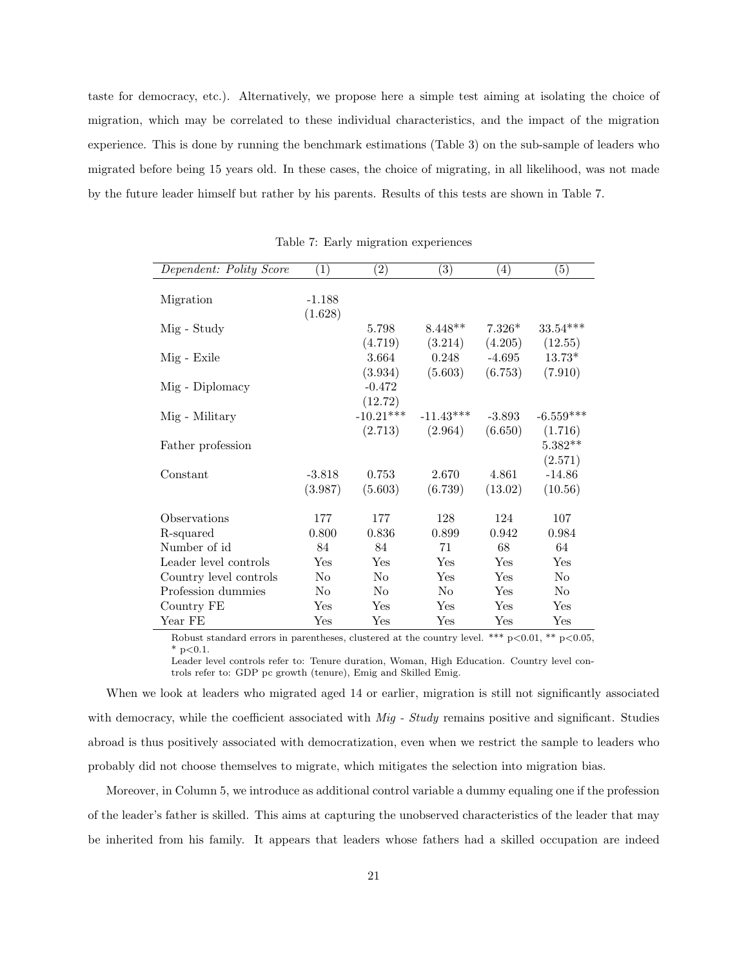taste for democracy, etc.). Alternatively, we propose here a simple test aiming at isolating the choice of migration, which may be correlated to these individual characteristics, and the impact of the migration experience. This is done by running the benchmark estimations (Table 3) on the sub-sample of leaders who migrated before being 15 years old. In these cases, the choice of migrating, in all likelihood, was not made by the future leader himself but rather by his parents. Results of this tests are shown in Table 7.

| Dependent: Polity Score | $\left( 1\right)$ | $\left( 2\right)$ | $\left( 3\right)$ | $\left(4\right)$ | (5)            |
|-------------------------|-------------------|-------------------|-------------------|------------------|----------------|
|                         |                   |                   |                   |                  |                |
| Migration               | $-1.188$          |                   |                   |                  |                |
|                         | (1.628)           |                   |                   |                  |                |
| Mig - Study             |                   | 5.798             | $8.448**$         | $7.326*$         | $33.54***$     |
|                         |                   | (4.719)           | (3.214)           | (4.205)          | (12.55)        |
| Mig - Exile             |                   | 3.664             | 0.248             | $-4.695$         | $13.73*$       |
|                         |                   | (3.934)           | (5.603)           | (6.753)          | (7.910)        |
| Mig - Diplomacy         |                   | $-0.472$          |                   |                  |                |
|                         |                   | (12.72)           |                   |                  |                |
| Mig - Military          |                   | $-10.21***$       | $-11.43***$       | $-3.893$         | $-6.559***$    |
|                         |                   | (2.713)           | (2.964)           | (6.650)          | (1.716)        |
| Father profession       |                   |                   |                   |                  | $5.382**$      |
|                         |                   |                   |                   |                  | (2.571)        |
| Constant                | $-3.818$          | 0.753             | 2.670             | 4.861            | $-14.86$       |
|                         | (3.987)           | (5.603)           | (6.739)           | (13.02)          | (10.56)        |
| Observations            | 177               | 177               | 128               | 124              | 107            |
| R-squared               | 0.800             | 0.836             | 0.899             | 0.942            | 0.984          |
| Number of id            | 84                | 84                | 71                | 68               | 64             |
| Leader level controls   | Yes               | Yes               | Yes               | Yes              | Yes            |
| Country level controls  | No                | No                | Yes               | Yes              | No             |
| Profession dummies      | No                | $\rm No$          | N <sub>o</sub>    | Yes              | N <sub>o</sub> |
| Country FE              | Yes               | Yes               | Yes               | Yes              | Yes            |
| Year FE                 | $_{\rm Yes}$      | Yes               | Yes               | Yes              | Yes            |

Table 7: Early migration experiences

Robust standard errors in parentheses, clustered at the country level. \*\*\*  $p<0.01$ , \*\*  $p<0.05$ ,  $*$  p $< 0.1$ .

Leader level controls refer to: Tenure duration, Woman, High Education. Country level controls refer to: GDP pc growth (tenure), Emig and Skilled Emig.

When we look at leaders who migrated aged 14 or earlier, migration is still not significantly associated with democracy, while the coefficient associated with  $Mig$  - Study remains positive and significant. Studies abroad is thus positively associated with democratization, even when we restrict the sample to leaders who probably did not choose themselves to migrate, which mitigates the selection into migration bias.

Moreover, in Column 5, we introduce as additional control variable a dummy equaling one if the profession of the leader's father is skilled. This aims at capturing the unobserved characteristics of the leader that may be inherited from his family. It appears that leaders whose fathers had a skilled occupation are indeed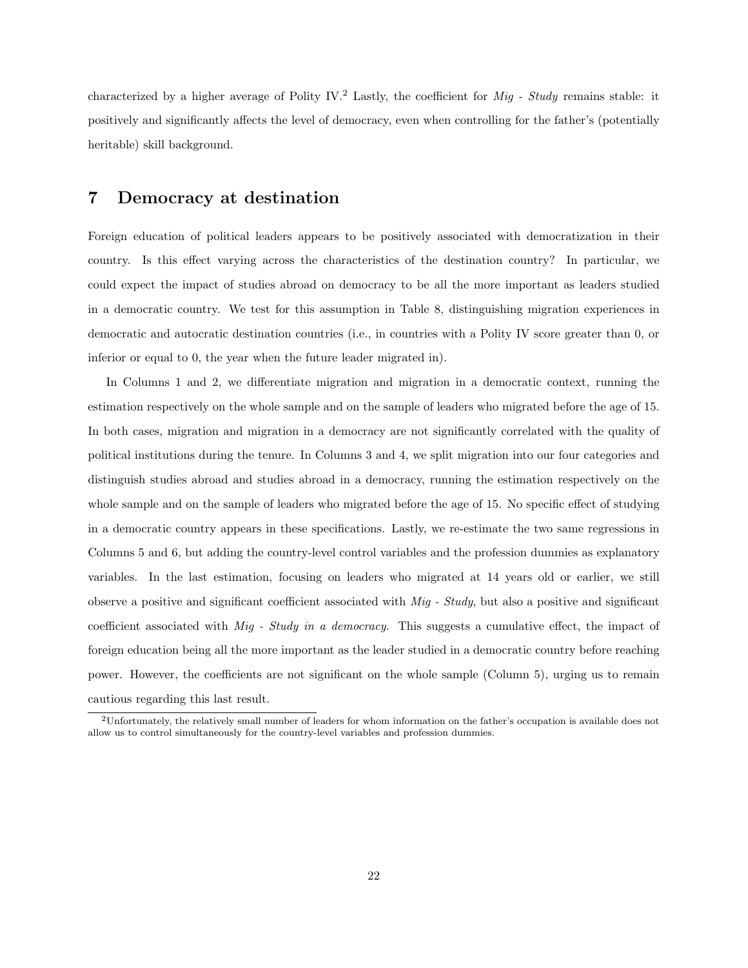characterized by a higher average of Polity IV.<sup>2</sup> Lastly, the coefficient for *Mig - Study* remains stable: it positively and significantly affects the level of democracy, even when controlling for the father's (potentially heritable) skill background.

# 7 Democracy at destination

Foreign education of political leaders appears to be positively associated with democratization in their country. Is this effect varying across the characteristics of the destination country? In particular, we could expect the impact of studies abroad on democracy to be all the more important as leaders studied in a democratic country. We test for this assumption in Table 8, distinguishing migration experiences in democratic and autocratic destination countries (i.e., in countries with a Polity IV score greater than 0, or inferior or equal to 0, the year when the future leader migrated in).

In Columns 1 and 2, we differentiate migration and migration in a democratic context, running the estimation respectively on the whole sample and on the sample of leaders who migrated before the age of 15. In both cases, migration and migration in a democracy are not significantly correlated with the quality of political institutions during the tenure. In Columns 3 and 4, we split migration into our four categories and distinguish studies abroad and studies abroad in a democracy, running the estimation respectively on the whole sample and on the sample of leaders who migrated before the age of 15. No specific effect of studying in a democratic country appears in these specifications. Lastly, we re-estimate the two same regressions in Columns 5 and 6, but adding the country-level control variables and the profession dummies as explanatory variables. In the last estimation, focusing on leaders who migrated at 14 years old or earlier, we still observe a positive and significant coefficient associated with Mig - Study, but also a positive and significant coefficient associated with Mig - Study in a democracy. This suggests a cumulative effect, the impact of foreign education being all the more important as the leader studied in a democratic country before reaching power. However, the coefficients are not significant on the whole sample (Column 5), urging us to remain cautious regarding this last result.

<sup>2</sup>Unfortunately, the relatively small number of leaders for whom information on the father's occupation is available does not allow us to control simultaneously for the country-level variables and profession dummies.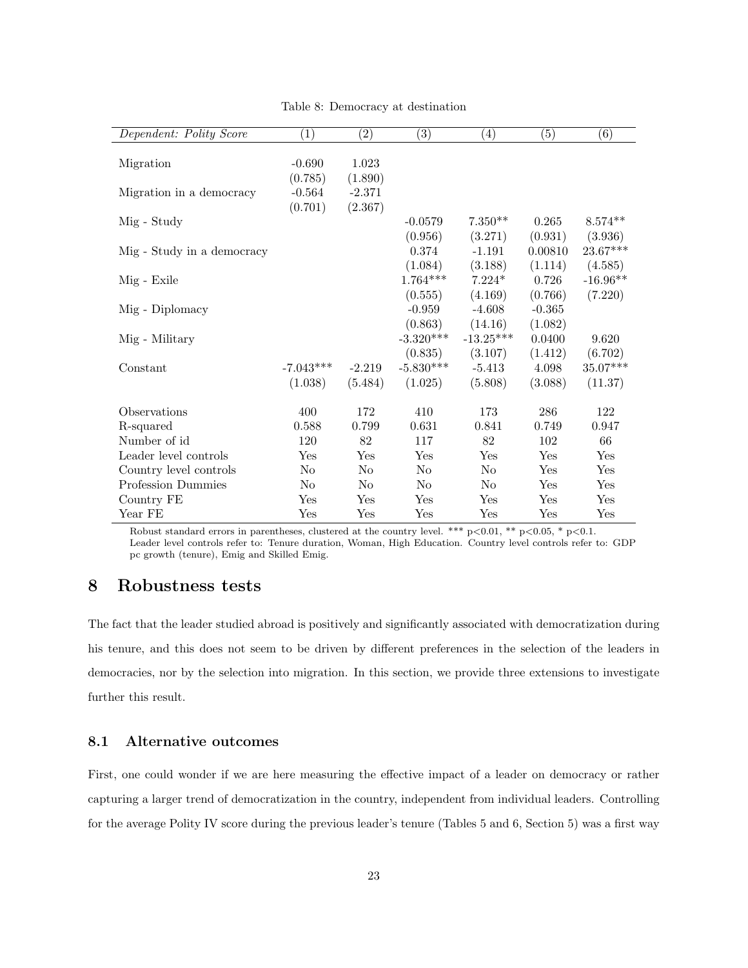| Dependent: Polity Score    | $\left( 1\right)$ | $\left( 2\right)$ | $\left( 3\right)$ | $\left( 4\right)$ | $\left( 5\right)$ | $\left( 6\right)$ |
|----------------------------|-------------------|-------------------|-------------------|-------------------|-------------------|-------------------|
|                            |                   |                   |                   |                   |                   |                   |
| Migration                  | $-0.690$          | 1.023             |                   |                   |                   |                   |
|                            | (0.785)           | (1.890)           |                   |                   |                   |                   |
| Migration in a democracy   | $-0.564$          | $-2.371$          |                   |                   |                   |                   |
|                            | (0.701)           | (2.367)           |                   |                   |                   |                   |
| Mig - Study                |                   |                   | $-0.0579$         | $7.350**$         | 0.265             | $8.574**$         |
|                            |                   |                   | (0.956)           | (3.271)           | (0.931)           | (3.936)           |
| Mig - Study in a democracy |                   |                   | 0.374             | $-1.191$          | 0.00810           | $23.67***$        |
|                            |                   |                   | (1.084)           | (3.188)           | (1.114)           | (4.585)           |
| Mig - Exile                |                   |                   | $1.764***$        | $7.224*$          | 0.726             | $-16.96**$        |
|                            |                   |                   | (0.555)           | (4.169)           | (0.766)           | (7.220)           |
| Mig - Diplomacy            |                   |                   | $-0.959$          | $-4.608$          | $-0.365$          |                   |
|                            |                   |                   | (0.863)           | (14.16)           | (1.082)           |                   |
| Mig - Military             |                   |                   | $-3.320***$       | $-13.25***$       | 0.0400            | 9.620             |
|                            |                   |                   | (0.835)           | (3.107)           | (1.412)           | (6.702)           |
| Constant                   | $-7.043***$       | $-2.219$          | $-5.830***$       | $-5.413$          | 4.098             | 35.07***          |
|                            | (1.038)           | (5.484)           | (1.025)           | (5.808)           | (3.088)           | (11.37)           |
|                            |                   |                   |                   |                   |                   |                   |
| Observations               | 400               | 172               | 410               | 173               | 286               | 122               |
| R-squared                  | 0.588             | 0.799             | 0.631             | 0.841             | 0.749             | 0.947             |
| Number of id               | 120               | 82                | 117               | 82                | 102               | 66                |
| Leader level controls      | Yes               | Yes               | Yes               | Yes               | Yes               | Yes               |
| Country level controls     | N <sub>o</sub>    | N <sub>o</sub>    | N <sub>o</sub>    | N <sub>o</sub>    | Yes               | Yes               |
| Profession Dummies         | $\rm No$          | $\rm No$          | N <sub>o</sub>    | N <sub>0</sub>    | Yes               | Yes               |
| Country FE                 | Yes               | Yes               | Yes               | Yes               | Yes               | Yes               |
| Year FE                    | Yes               | Yes               | Yes               | Yes               | Yes               | Yes               |

Table 8: Democracy at destination

Robust standard errors in parentheses, clustered at the country level. \*\*\*  $p<0.01$ , \*\*  $p<0.05$ , \*  $p<0.1$ . Leader level controls refer to: Tenure duration, Woman, High Education. Country level controls refer to: GDP pc growth (tenure), Emig and Skilled Emig.

## 8 Robustness tests

The fact that the leader studied abroad is positively and significantly associated with democratization during his tenure, and this does not seem to be driven by different preferences in the selection of the leaders in democracies, nor by the selection into migration. In this section, we provide three extensions to investigate further this result.

### 8.1 Alternative outcomes

First, one could wonder if we are here measuring the effective impact of a leader on democracy or rather capturing a larger trend of democratization in the country, independent from individual leaders. Controlling for the average Polity IV score during the previous leader's tenure (Tables 5 and 6, Section 5) was a first way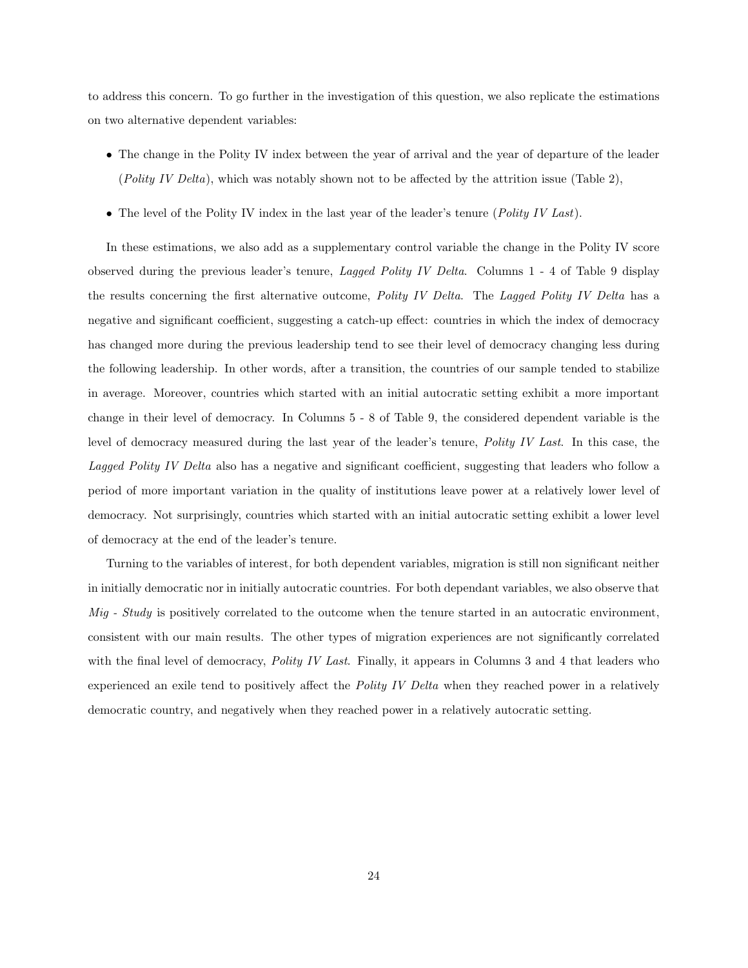to address this concern. To go further in the investigation of this question, we also replicate the estimations on two alternative dependent variables:

- The change in the Polity IV index between the year of arrival and the year of departure of the leader (Polity IV Delta), which was notably shown not to be affected by the attrition issue (Table 2),
- The level of the Polity IV index in the last year of the leader's tenure (Polity IV Last).

In these estimations, we also add as a supplementary control variable the change in the Polity IV score observed during the previous leader's tenure, Lagged Polity IV Delta. Columns 1 - 4 of Table 9 display the results concerning the first alternative outcome, Polity IV Delta. The Lagged Polity IV Delta has a negative and significant coefficient, suggesting a catch-up effect: countries in which the index of democracy has changed more during the previous leadership tend to see their level of democracy changing less during the following leadership. In other words, after a transition, the countries of our sample tended to stabilize in average. Moreover, countries which started with an initial autocratic setting exhibit a more important change in their level of democracy. In Columns 5 - 8 of Table 9, the considered dependent variable is the level of democracy measured during the last year of the leader's tenure, Polity IV Last. In this case, the Lagged Polity IV Delta also has a negative and significant coefficient, suggesting that leaders who follow a period of more important variation in the quality of institutions leave power at a relatively lower level of democracy. Not surprisingly, countries which started with an initial autocratic setting exhibit a lower level of democracy at the end of the leader's tenure.

Turning to the variables of interest, for both dependent variables, migration is still non significant neither in initially democratic nor in initially autocratic countries. For both dependant variables, we also observe that  $Mig$  - Study is positively correlated to the outcome when the tenure started in an autocratic environment, consistent with our main results. The other types of migration experiences are not significantly correlated with the final level of democracy, *Polity IV Last*. Finally, it appears in Columns 3 and 4 that leaders who experienced an exile tend to positively affect the *Polity IV Delta* when they reached power in a relatively democratic country, and negatively when they reached power in a relatively autocratic setting.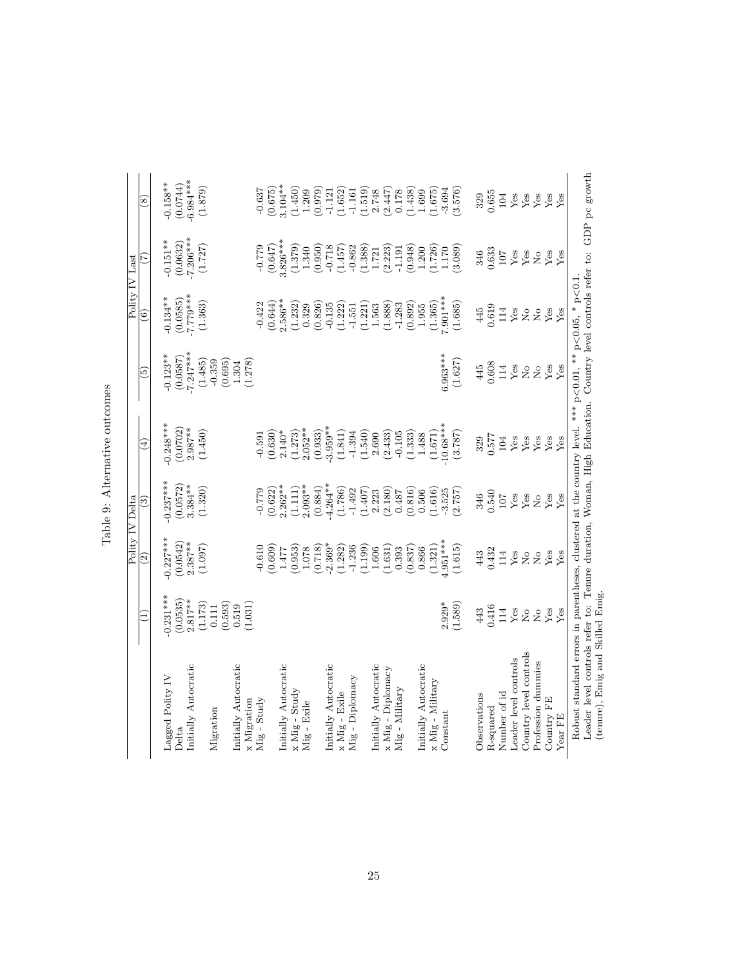|                                                                                                                        |                             | Polity IV Delta                       |                                |                                                            |                     |                                                                        | Polity IV Last                                             |                                                            |
|------------------------------------------------------------------------------------------------------------------------|-----------------------------|---------------------------------------|--------------------------------|------------------------------------------------------------|---------------------|------------------------------------------------------------------------|------------------------------------------------------------|------------------------------------------------------------|
|                                                                                                                        |                             | $\widehat{\mathfrak{S}}$              | $\widehat{\mathbb{C}}$         | $\widehat{E}$                                              | િ                   | $\widehat{\circ}$                                                      | Ξ                                                          | $\circled{s}$                                              |
| Lagged Polity IV                                                                                                       | $0.231***$                  | $0.227***$                            | $-0.237***$                    | $0.248***$                                                 | $-0.123**$          | $-0.134***$                                                            | $-0.151***$                                                | $0.158**$                                                  |
| Delta                                                                                                                  | (0.0535)                    | (0.0542)                              | (0.0572)                       | (0.0702)                                                   | (0.0587)            | (0.0585)                                                               | $(0.0632)$<br>-7.206***                                    | (0.0744)                                                   |
| Initially Autocratic                                                                                                   | $2.817***$                  | $2.387**$                             | $3.384***$                     | $2.987***$                                                 | $-7.247***$         | $7.70***$                                                              |                                                            | $-6.984***$                                                |
|                                                                                                                        | (1.173)                     | (1.097)                               | (1.320)                        | (1.450)                                                    | (1.485)             | (1.363)                                                                | (1.727)                                                    | (1.879)                                                    |
| Migration                                                                                                              | (0.593)<br>0.111            |                                       |                                |                                                            | $-0.359$<br>(0.695) |                                                                        |                                                            |                                                            |
| Initially Autocratic                                                                                                   | 0.519                       |                                       |                                |                                                            | 1.304               |                                                                        |                                                            |                                                            |
| x Migration                                                                                                            | (1.031)                     |                                       |                                |                                                            | (1.278)             |                                                                        |                                                            |                                                            |
| $Mig - Study$                                                                                                          |                             | $-0.610$                              | $-0.779$                       |                                                            |                     | $-0.422$                                                               | $-0.779$                                                   | $-0.637$                                                   |
|                                                                                                                        |                             | (0.609)                               | (0.622)                        | (0.591)                                                    |                     | (0.644)                                                                | (0.647)                                                    | (0.675)                                                    |
| Initially Autocratic                                                                                                   |                             | 1.477                                 | $2.262**$                      | $2.140*$                                                   |                     | $2.586**$                                                              | $3.826***$                                                 | $3.104**$                                                  |
| $x$ Mig - Study                                                                                                        |                             | (0.953)                               | (1.111)                        | (1.273)                                                    |                     | (1.232)                                                                | $\begin{array}{c} (1.379) \\ 1.340 \\ (0.950) \end{array}$ | $\begin{array}{c} (1.450) \\ 1.209 \\ (0.979) \end{array}$ |
| Mig - Exile                                                                                                            |                             | $1.078\,$                             | $2.093**$                      | $2.052***$                                                 |                     | 0.329                                                                  |                                                            |                                                            |
|                                                                                                                        |                             | (0.718)                               | (0.884)                        | (0.933)                                                    |                     | (0.826)                                                                |                                                            |                                                            |
| Initially Autocratic                                                                                                   |                             | $-2.369*$                             | $4.264***$                     | $3.959***$                                                 |                     | $-0.135$                                                               | $-0.718$                                                   | $-1.121$                                                   |
| x Mig - Exile                                                                                                          |                             | (1.282)                               | (1.786)                        | (1.841)                                                    |                     | (1.222)                                                                | (1.457)                                                    | (1.652)                                                    |
| Mig - Diplomacy                                                                                                        |                             | $-1.236$                              | $-1.492$                       | $-1.394$                                                   |                     | $-1.551$                                                               | $-0.862$                                                   | $-1.161$                                                   |
|                                                                                                                        |                             | (1.199)                               | (1.407)                        | $\begin{array}{c} (1.540) \\ 2.690 \end{array}$            |                     | (1.221)                                                                | $\left(1.388\right)$ $1.721$                               |                                                            |
| initially Autocratic                                                                                                   |                             | $1.606\,$                             | 2.223                          |                                                            |                     | 1.563                                                                  |                                                            | $\begin{array}{c} (1.519) \\ 2.748 \\ (2.447) \end{array}$ |
| x Mig - Diplomacy                                                                                                      |                             | (1.631)                               | (2.180)                        | (2.433)                                                    |                     | (1.888)                                                                | (2.223)                                                    |                                                            |
| $Mig$ - $Military$                                                                                                     |                             | 0.393                                 | 0.487                          | $-0.105$                                                   |                     | $-1.283$                                                               | $-1.191$                                                   | 0.178                                                      |
|                                                                                                                        |                             | (0.837)                               | (0.816)                        |                                                            |                     | (0.892)                                                                | (0.948)                                                    |                                                            |
| Initially Autocratic                                                                                                   |                             | 0.866                                 | 0.506                          | $\begin{array}{c} (1.333) \\ 1.488 \\ (1.671) \end{array}$ |                     | 1.955                                                                  |                                                            | $\begin{array}{c} (1.438) \\ 1.699 \\ (1.675) \end{array}$ |
| $x$ Mig - Military                                                                                                     |                             | (1.321)                               | (1.616)                        |                                                            |                     | (1.365)                                                                | $(1.200)$<br>$(1.726)$                                     |                                                            |
| Constant                                                                                                               | $2.929*$                    | $1.951***$                            | $-3.525$                       | $10.68***$                                                 | $6.963***$          | $7.901***$                                                             | 1.170                                                      | $-3.694$                                                   |
|                                                                                                                        | (1.589)                     | (1.615)                               | (2.757)                        | (3.787)                                                    | (1.627)             | (1.685)                                                                | (3.089)                                                    | (3.576)                                                    |
| Observations                                                                                                           | 443                         | 443                                   | 346                            | 329                                                        | 445                 | 445                                                                    | 346                                                        | 329                                                        |
| R-squared                                                                                                              | 0.416                       | 0.432                                 | 0.540                          | 0.577                                                      | 0.608               | 0.619                                                                  | 0.633                                                      | 0.655                                                      |
| Number of id                                                                                                           | 114                         | 114                                   | 107                            | 104                                                        | 114                 | 114                                                                    | $107\,$                                                    | 104                                                        |
| Leader level controls                                                                                                  | Yes                         | ${\rm Yes}$                           | ${\rm Yes}$                    | Yes                                                        | Yes                 | Yes                                                                    | ${\rm Yes}$                                                | ${\rm Yes}$                                                |
| Country level controls                                                                                                 | $_{\rm N_o}$                | $\tilde{z}$                           | ${\rm Yes}$                    | ${\rm Yes}$                                                | $\overline{R}$      | $\rm \stackrel{\circ}{\rm \stackrel{\circ}{\rm \scriptscriptstyle M}}$ | ${\rm Yes}$                                                | Yes                                                        |
| Profession dummies                                                                                                     | $_{\rm N_o}$                | $\stackrel{\circ}{\phantom{}_{\sim}}$ | $\stackrel{\circ}{\mathbf{Z}}$ | Yes                                                        | $\overline{R}$      | $\stackrel{\circ}{\phantom{}_{\sim}}$                                  | $\stackrel{\circ}{\simeq}$                                 | Yes                                                        |
| Country FE                                                                                                             | $\ensuremath{\mathrm{Yes}}$ | $\ensuremath{\mathrm{Yes}}$           | ${\rm Yes}$                    | $\ensuremath{\mathrm{Yes}}$                                | Yes                 | ${\rm Yes}$                                                            | $_{\rm Yes}^{\rm Yes}$                                     | ${\rm Yes}$                                                |
| Year FE                                                                                                                | Yes                         | Yes                                   | Yes                            | Yes                                                        | Yes                 | Yes                                                                    |                                                            | Yes                                                        |
| Robust standard errors in parentheses, clustered at the country level. *** $p<0.01$ , ** $p<0.1$ , * $p<0.1$           |                             |                                       |                                |                                                            |                     |                                                                        |                                                            |                                                            |
| Leader level controls refer to: Tenure duration, Woman, High Education. Country level controls refer to: GDP pc growth |                             |                                       |                                |                                                            |                     |                                                                        |                                                            |                                                            |
| (tenure), Emig and Skilled Emig                                                                                        |                             |                                       |                                |                                                            |                     |                                                                        |                                                            |                                                            |

Table 9: Alternative outcomes Table 9: Alternative outcomes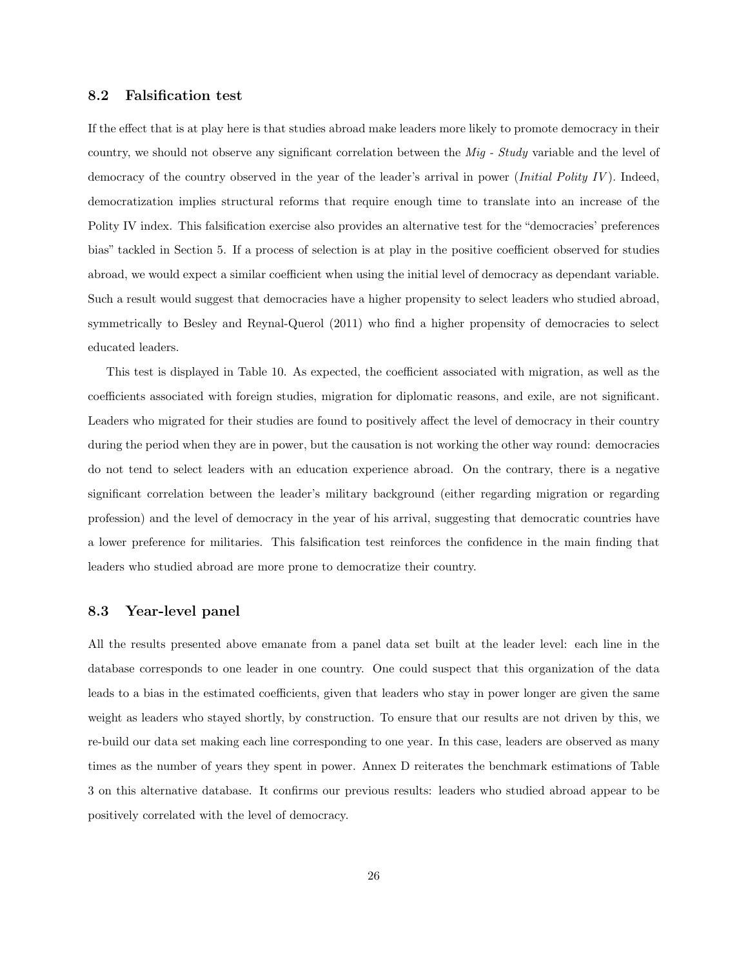#### 8.2 Falsification test

If the effect that is at play here is that studies abroad make leaders more likely to promote democracy in their country, we should not observe any significant correlation between the Mig - Study variable and the level of democracy of the country observed in the year of the leader's arrival in power (*Initial Polity IV*). Indeed, democratization implies structural reforms that require enough time to translate into an increase of the Polity IV index. This falsification exercise also provides an alternative test for the "democracies' preferences bias" tackled in Section 5. If a process of selection is at play in the positive coefficient observed for studies abroad, we would expect a similar coefficient when using the initial level of democracy as dependant variable. Such a result would suggest that democracies have a higher propensity to select leaders who studied abroad, symmetrically to Besley and Reynal-Querol (2011) who find a higher propensity of democracies to select educated leaders.

This test is displayed in Table 10. As expected, the coefficient associated with migration, as well as the coefficients associated with foreign studies, migration for diplomatic reasons, and exile, are not significant. Leaders who migrated for their studies are found to positively affect the level of democracy in their country during the period when they are in power, but the causation is not working the other way round: democracies do not tend to select leaders with an education experience abroad. On the contrary, there is a negative significant correlation between the leader's military background (either regarding migration or regarding profession) and the level of democracy in the year of his arrival, suggesting that democratic countries have a lower preference for militaries. This falsification test reinforces the confidence in the main finding that leaders who studied abroad are more prone to democratize their country.

### 8.3 Year-level panel

All the results presented above emanate from a panel data set built at the leader level: each line in the database corresponds to one leader in one country. One could suspect that this organization of the data leads to a bias in the estimated coefficients, given that leaders who stay in power longer are given the same weight as leaders who stayed shortly, by construction. To ensure that our results are not driven by this, we re-build our data set making each line corresponding to one year. In this case, leaders are observed as many times as the number of years they spent in power. Annex D reiterates the benchmark estimations of Table 3 on this alternative database. It confirms our previous results: leaders who studied abroad appear to be positively correlated with the level of democracy.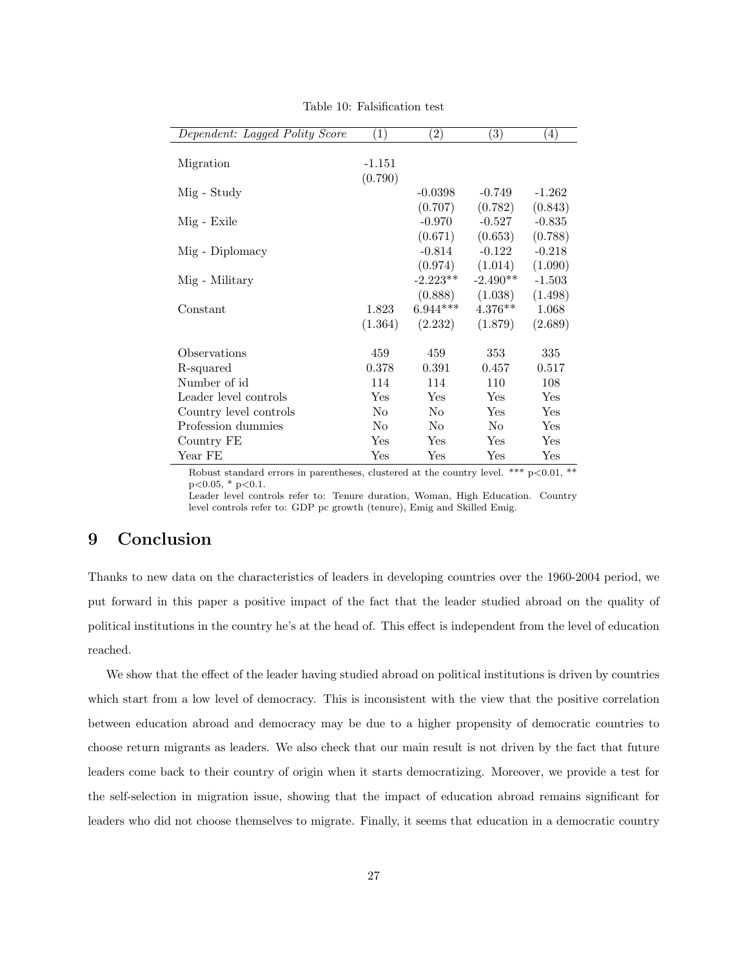| Dependent: Lagged Polity Score | (1)            | (2)            | $\left(3\right)$ | $\left(4\right)$ |
|--------------------------------|----------------|----------------|------------------|------------------|
|                                |                |                |                  |                  |
| Migration                      | $-1.151$       |                |                  |                  |
|                                | (0.790)        |                |                  |                  |
| Mig - Study                    |                | $-0.0398$      | $-0.749$         | $-1.262$         |
|                                |                | (0.707)        | (0.782)          | (0.843)          |
| Mig - Exile                    |                | $-0.970$       | $-0.527$         | $-0.835$         |
|                                |                | (0.671)        | (0.653)          | (0.788)          |
| Mig - Diplomacy                |                | $-0.814$       | $-0.122$         | $-0.218$         |
|                                |                | (0.974)        | (1.014)          | (1.090)          |
| Mig - Military                 |                | $-2.223**$     | $-2.490**$       | $-1.503$         |
|                                |                | (0.888)        | (1.038)          | (1.498)          |
| Constant                       | 1.823          | $6.944***$     | $4.376**$        | 1.068            |
|                                | (1.364)        | (2.232)        | (1.879)          | (2.689)          |
|                                |                |                |                  |                  |
| Observations                   | 459            | 459            | 353              | 335              |
| R-squared                      | 0.378          | 0.391          | 0.457            | 0.517            |
| Number of id                   | 114            | 114            | 110              | 108              |
| Leader level controls          | Yes            | Yes            | Yes              | Yes              |
| Country level controls         | No             | No             | Yes              | Yes              |
| Profession dummies             | N <sub>o</sub> | N <sub>o</sub> | N <sub>o</sub>   | Yes              |
| Country FE                     | Yes            | Yes            | Yes              | Yes              |
| Year FE                        | Yes            | Yes            | Yes              | Yes              |

Table 10: Falsification test

Robust standard errors in parentheses, clustered at the country level. \*\*\*  $p<0.01$ , \*\*  $p<0.05$ , \*  $p<0.1$ .

Leader level controls refer to: Tenure duration, Woman, High Education. Country level controls refer to: GDP pc growth (tenure), Emig and Skilled Emig.

# 9 Conclusion

Thanks to new data on the characteristics of leaders in developing countries over the 1960-2004 period, we put forward in this paper a positive impact of the fact that the leader studied abroad on the quality of political institutions in the country he's at the head of. This effect is independent from the level of education reached.

We show that the effect of the leader having studied abroad on political institutions is driven by countries which start from a low level of democracy. This is inconsistent with the view that the positive correlation between education abroad and democracy may be due to a higher propensity of democratic countries to choose return migrants as leaders. We also check that our main result is not driven by the fact that future leaders come back to their country of origin when it starts democratizing. Moreover, we provide a test for the self-selection in migration issue, showing that the impact of education abroad remains significant for leaders who did not choose themselves to migrate. Finally, it seems that education in a democratic country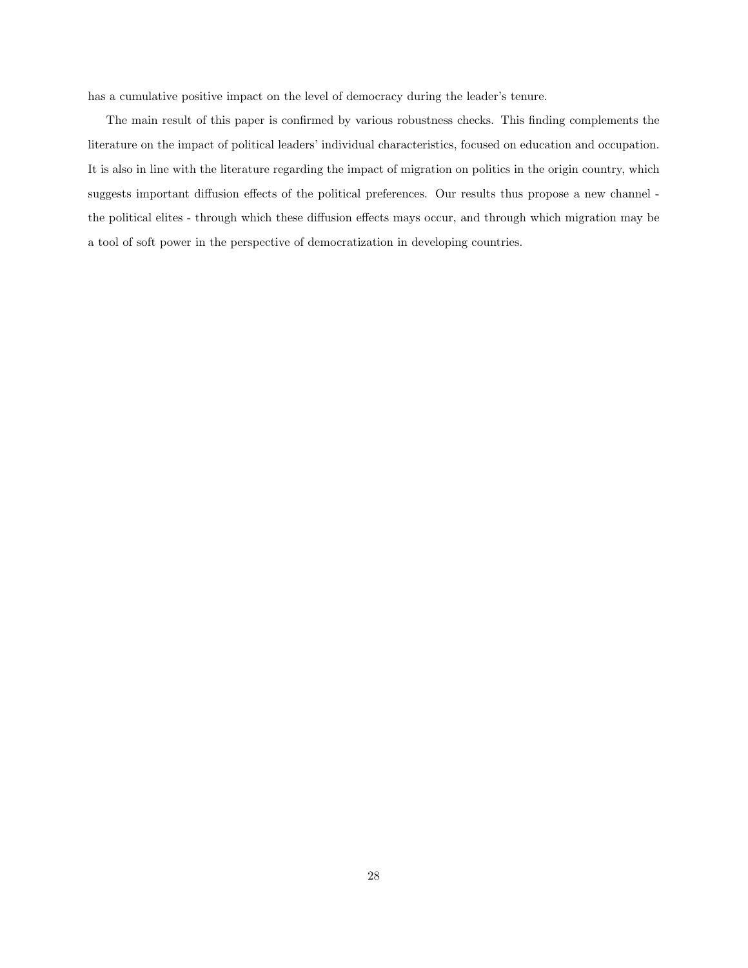has a cumulative positive impact on the level of democracy during the leader's tenure.

The main result of this paper is confirmed by various robustness checks. This finding complements the literature on the impact of political leaders' individual characteristics, focused on education and occupation. It is also in line with the literature regarding the impact of migration on politics in the origin country, which suggests important diffusion effects of the political preferences. Our results thus propose a new channel the political elites - through which these diffusion effects mays occur, and through which migration may be a tool of soft power in the perspective of democratization in developing countries.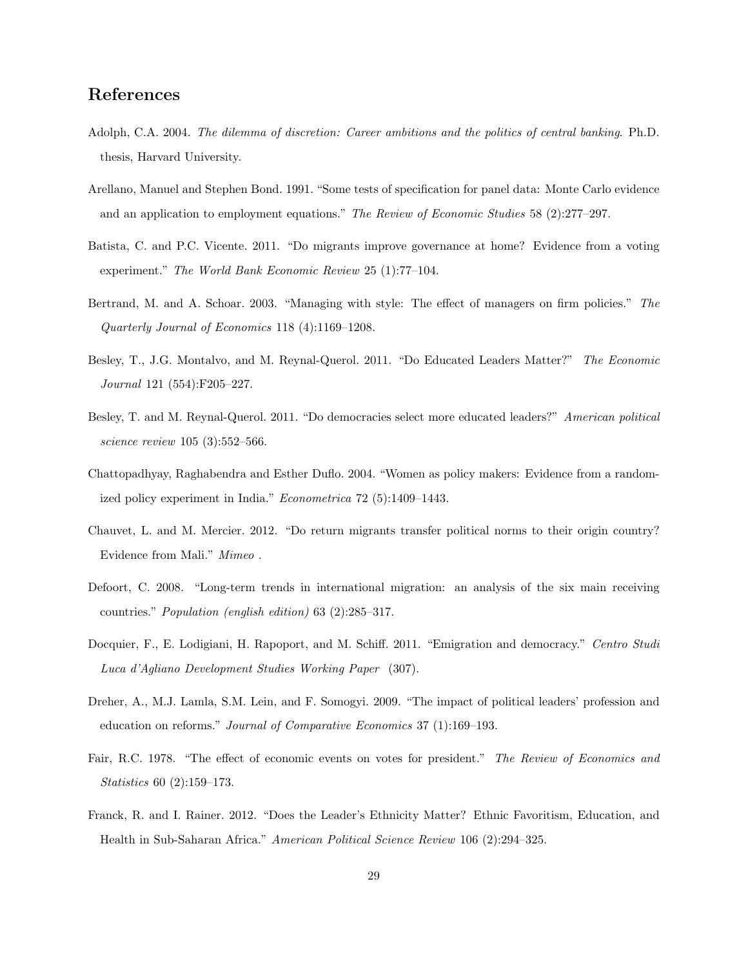# References

- Adolph, C.A. 2004. The dilemma of discretion: Career ambitions and the politics of central banking. Ph.D. thesis, Harvard University.
- Arellano, Manuel and Stephen Bond. 1991. "Some tests of specification for panel data: Monte Carlo evidence and an application to employment equations." The Review of Economic Studies 58 (2):277-297.
- Batista, C. and P.C. Vicente. 2011. "Do migrants improve governance at home? Evidence from a voting experiment." The World Bank Economic Review 25 (1):77–104.
- Bertrand, M. and A. Schoar. 2003. "Managing with style: The effect of managers on firm policies." The Quarterly Journal of Economics 118 (4):1169–1208.
- Besley, T., J.G. Montalvo, and M. Reynal-Querol. 2011. "Do Educated Leaders Matter?" The Economic Journal 121 (554):F205–227.
- Besley, T. and M. Reynal-Querol. 2011. "Do democracies select more educated leaders?" American political science review 105 (3):552–566.
- Chattopadhyay, Raghabendra and Esther Duflo. 2004. "Women as policy makers: Evidence from a randomized policy experiment in India." Econometrica 72 (5):1409–1443.
- Chauvet, L. and M. Mercier. 2012. "Do return migrants transfer political norms to their origin country? Evidence from Mali." Mimeo .
- Defoort, C. 2008. "Long-term trends in international migration: an analysis of the six main receiving countries." Population (english edition) 63 (2):285–317.
- Docquier, F., E. Lodigiani, H. Rapoport, and M. Schiff. 2011. "Emigration and democracy." Centro Studi Luca d'Agliano Development Studies Working Paper (307).
- Dreher, A., M.J. Lamla, S.M. Lein, and F. Somogyi. 2009. "The impact of political leaders' profession and education on reforms." Journal of Comparative Economics 37 (1):169–193.
- Fair, R.C. 1978. "The effect of economic events on votes for president." The Review of Economics and Statistics 60 (2):159–173.
- Franck, R. and I. Rainer. 2012. "Does the Leader's Ethnicity Matter? Ethnic Favoritism, Education, and Health in Sub-Saharan Africa." American Political Science Review 106 (2):294–325.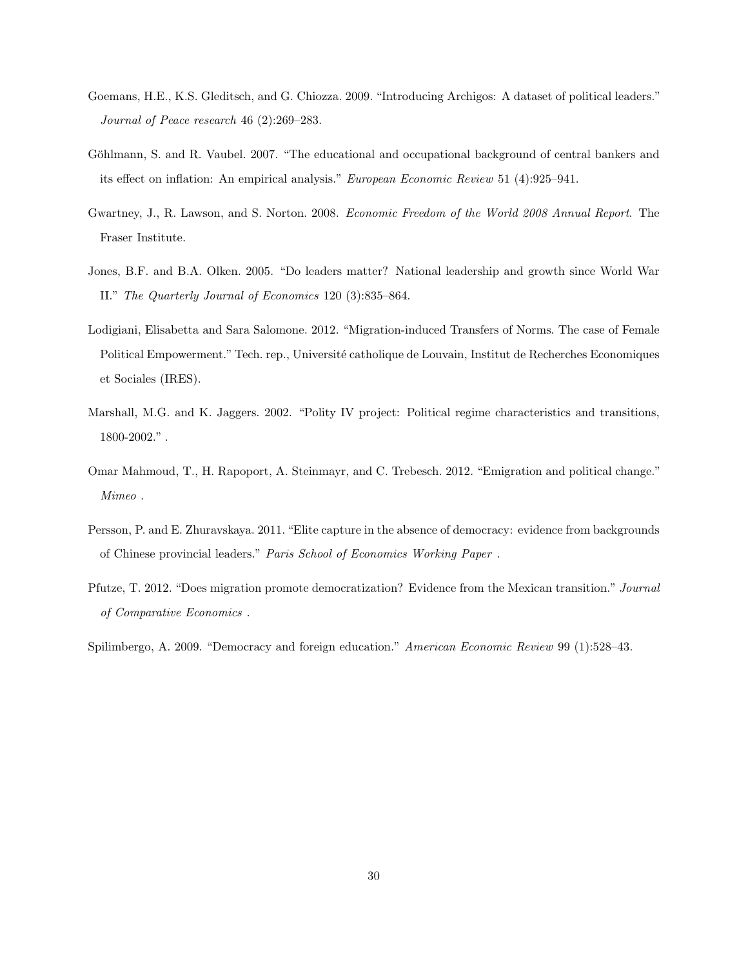- Goemans, H.E., K.S. Gleditsch, and G. Chiozza. 2009. "Introducing Archigos: A dataset of political leaders." Journal of Peace research 46 (2):269–283.
- Göhlmann, S. and R. Vaubel. 2007. "The educational and occupational background of central bankers and its effect on inflation: An empirical analysis." European Economic Review 51 (4):925–941.
- Gwartney, J., R. Lawson, and S. Norton. 2008. Economic Freedom of the World 2008 Annual Report. The Fraser Institute.
- Jones, B.F. and B.A. Olken. 2005. "Do leaders matter? National leadership and growth since World War II." The Quarterly Journal of Economics 120 (3):835–864.
- Lodigiani, Elisabetta and Sara Salomone. 2012. "Migration-induced Transfers of Norms. The case of Female Political Empowerment." Tech. rep., Université catholique de Louvain, Institut de Recherches Economiques et Sociales (IRES).
- Marshall, M.G. and K. Jaggers. 2002. "Polity IV project: Political regime characteristics and transitions, 1800-2002." .
- Omar Mahmoud, T., H. Rapoport, A. Steinmayr, and C. Trebesch. 2012. "Emigration and political change." Mimeo .
- Persson, P. and E. Zhuravskaya. 2011. "Elite capture in the absence of democracy: evidence from backgrounds of Chinese provincial leaders." Paris School of Economics Working Paper .
- Pfutze, T. 2012. "Does migration promote democratization? Evidence from the Mexican transition." Journal of Comparative Economics .

Spilimbergo, A. 2009. "Democracy and foreign education." American Economic Review 99 (1):528–43.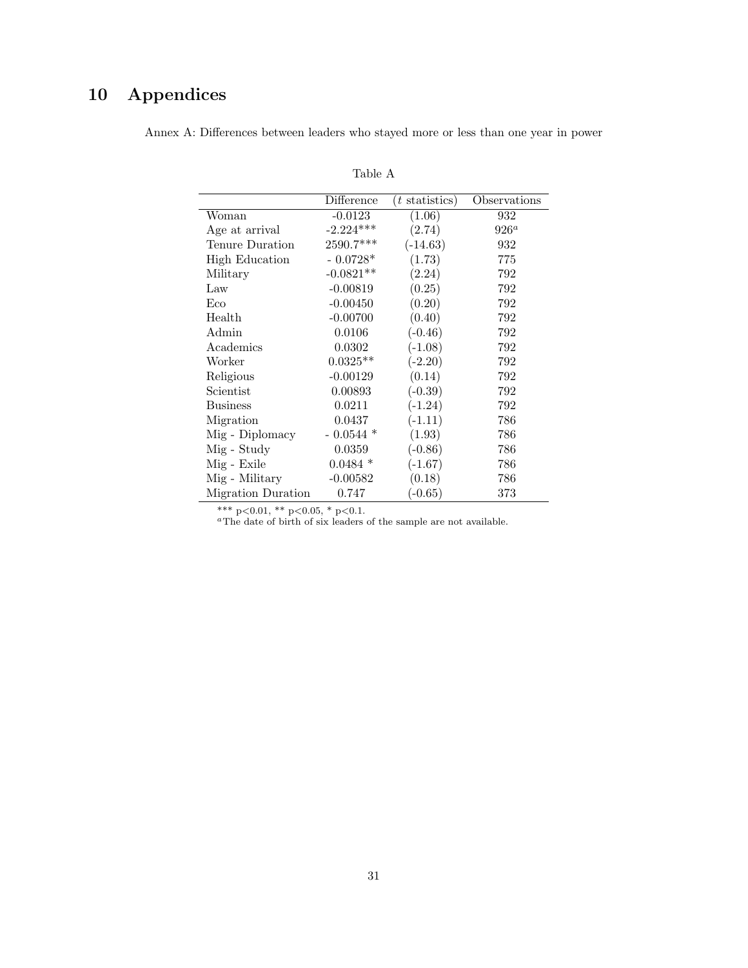# 10 Appendices

|                       | Difference  | $(t \text{ statistics})$ | Observations |
|-----------------------|-------------|--------------------------|--------------|
| Woman                 | $-0.0123$   | (1.06)                   | 932          |
| Age at arrival        | $-2.224***$ | (2.74)                   | $926^a$      |
| Tenure Duration       | $2590.7***$ | $(-14.63)$               | 932          |
| <b>High Education</b> | $-0.0728*$  | (1.73)                   | 775          |
| Military              | $-0.0821**$ | (2.24)                   | 792          |
| Law                   | $-0.00819$  | (0.25)                   | 792          |
| Eco                   | $-0.00450$  | (0.20)                   | 792          |
| Health                | $-0.00700$  | (0.40)                   | 792          |
| Admin                 | 0.0106      | $(-0.46)$                | 792          |
| Academics             | 0.0302      | $(-1.08)$                | 792          |
| Worker                | $0.0325**$  | $(-2.20)$                | 792          |
| Religious             | $-0.00129$  | (0.14)                   | 792          |
| Scientist             | 0.00893     | $(-0.39)$                | 792          |
| <b>Business</b>       | 0.0211      | $(-1.24)$                | 792          |
| Migration             | 0.0437      | $(-1.11)$                | 786          |
| Mig - Diplomacy       | $-0.0544*$  | (1.93)                   | 786          |
| Mig - Study           | 0.0359      | $(-0.86)$                | 786          |
| Mig - Exile           | $0.0484*$   | $(-1.67)$                | 786          |
| Mig - Military        | $-0.00582$  | (0.18)                   | 786          |
| Migration Duration    | 0.747       | $(-0.65)$                | 373          |

Annex A: Differences between leaders who stayed more or less than one year in power

Table A

\*\*\* p<0.01, \*\* p<0.05, \* p<0.1.

<sup>a</sup>The date of birth of six leaders of the sample are not available.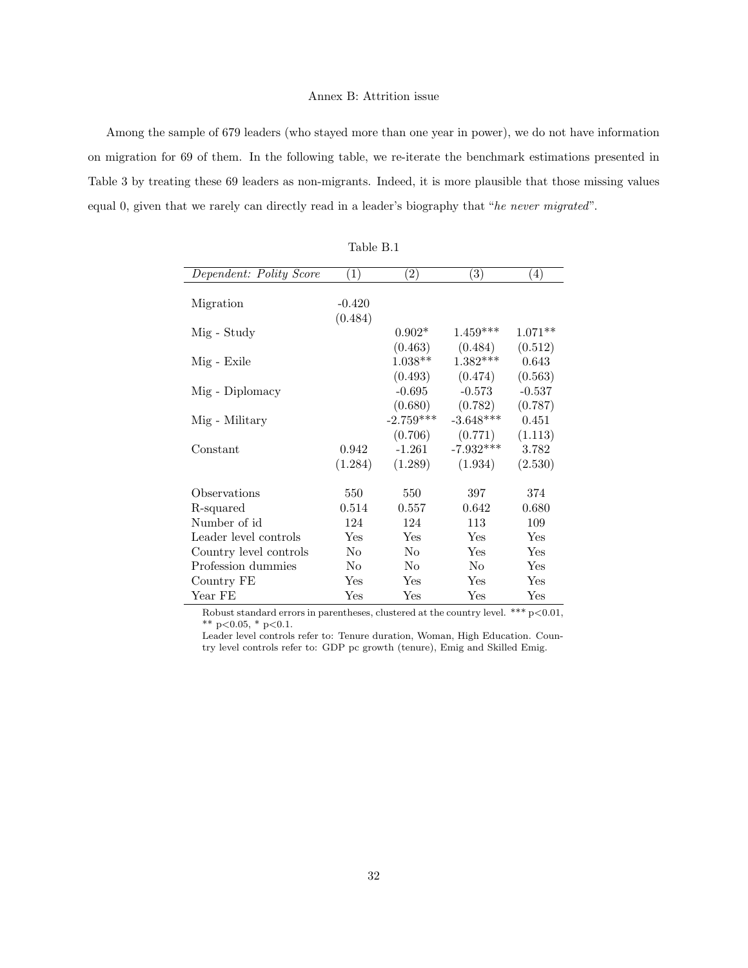#### Annex B: Attrition issue

Among the sample of 679 leaders (who stayed more than one year in power), we do not have information on migration for 69 of them. In the following table, we re-iterate the benchmark estimations presented in Table 3 by treating these 69 leaders as non-migrants. Indeed, it is more plausible that those missing values equal 0, given that we rarely can directly read in a leader's biography that "he never migrated".

| Dependent: Polity Score | (1)            | $\left( 2\right)$ | $\left( 3\right)$ | $\left( 4\right)$ |
|-------------------------|----------------|-------------------|-------------------|-------------------|
|                         |                |                   |                   |                   |
| Migration               | $-0.420$       |                   |                   |                   |
|                         | (0.484)        |                   |                   |                   |
| Mig - Study             |                | $0.902*$          | $1.459***$        | $1.071**$         |
|                         |                | (0.463)           | (0.484)           | (0.512)           |
| Mig - Exile             |                | $1.038**$         | $1.382***$        | 0.643             |
|                         |                | (0.493)           | (0.474)           | (0.563)           |
| Mig - Diplomacy         |                | $-0.695$          | $-0.573$          | $-0.537$          |
|                         |                | (0.680)           | (0.782)           | (0.787)           |
| Mig - Military          |                | $-2.759***$       | $-3.648***$       | 0.451             |
|                         |                | (0.706)           | (0.771)           | (1.113)           |
| Constant                | 0.942          | $-1.261$          | $-7.932***$       | 3.782             |
|                         | (1.284)        | (1.289)           | (1.934)           | (2.530)           |
|                         |                |                   |                   |                   |
| Observations            | 550            | 550               | 397               | 374               |
| R-squared               | 0.514          | 0.557             | 0.642             | 0.680             |
| Number of id            | 124            | 124               | 113               | 109               |
| Leader level controls   | Yes            | Yes               | Yes               | Yes               |
| Country level controls  | No             | No                | Yes               | Yes               |
| Profession dummies      | N <sub>0</sub> | No                | N <sub>0</sub>    | Yes               |
| Country FE              | <b>Yes</b>     | Yes               | <b>Yes</b>        | Yes               |
| Year FE                 | Yes            | Yes               | Yes               | Yes               |

Table B.1

Robust standard errors in parentheses, clustered at the country level. \*\*\*  $p<0.01$ ,  $^{\ast\ast}$  p<0.05,  $^{\ast}$  p<0.1.

Leader level controls refer to: Tenure duration, Woman, High Education. Country level controls refer to: GDP pc growth (tenure), Emig and Skilled Emig.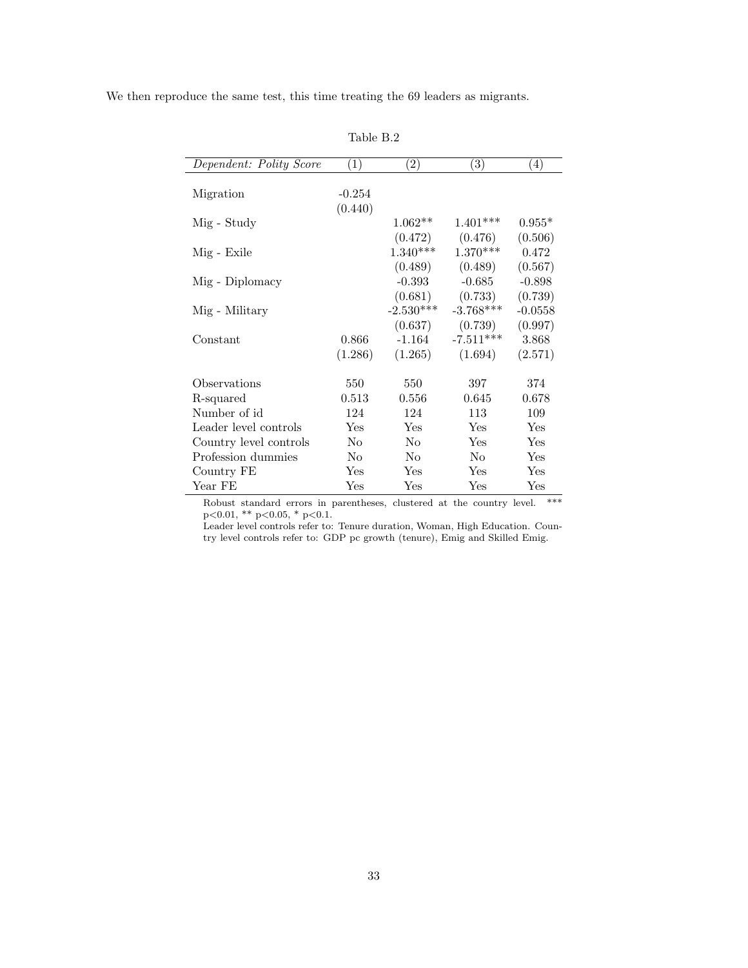We then reproduce the same test, this time treating the 69 leaders as migrants.

| Dependent: Polity Score | $\left( 1\right)$ | $\left( 2\right)$ | $\bar{(3)}$    | $\left( 4\right)$ |
|-------------------------|-------------------|-------------------|----------------|-------------------|
|                         |                   |                   |                |                   |
| Migration               | $-0.254$          |                   |                |                   |
|                         | (0.440)           |                   |                |                   |
| Mig - Study             |                   | $1.062**$         | $1.401***$     | $0.955*$          |
|                         |                   | (0.472)           | (0.476)        | (0.506)           |
| Mig - Exile             |                   | $1.340***$        | $1.370***$     | 0.472             |
|                         |                   | (0.489)           | (0.489)        | (0.567)           |
| Mig - Diplomacy         |                   | $-0.393$          | $-0.685$       | $-0.898$          |
|                         |                   | (0.681)           | (0.733)        | (0.739)           |
| Mig - Military          |                   | $-2.530***$       | $-3.768***$    | $-0.0558$         |
|                         |                   | (0.637)           | (0.739)        | (0.997)           |
| Constant                | 0.866             | $-1.164$          | $-7.511***$    | 3.868             |
|                         | (1.286)           | (1.265)           | (1.694)        | (2.571)           |
|                         |                   |                   |                |                   |
| Observations            | 550               | 550               | 397            | 374               |
| R-squared               | 0.513             | 0.556             | 0.645          | 0.678             |
| Number of id            | 124               | 124               | 113            | 109               |
| Leader level controls   | Yes               | Yes               | <b>Yes</b>     | Yes               |
| Country level controls  | N <sub>o</sub>    | N <sub>o</sub>    | Yes            | Yes               |
| Profession dummies      | No                | No                | N <sub>o</sub> | Yes               |
| Country FE              | Yes               | Yes               | Yes            | Yes               |
| Year FE                 | Yes               | Yes               | Yes            | Yes               |

Table B.2

Robust standard errors in parentheses, clustered at the country level. \*\*\* p<0.01, \*\* p<0.05, \* p<0.1.

Leader level controls refer to: Tenure duration, Woman, High Education. Country level controls refer to: GDP pc growth (tenure), Emig and Skilled Emig.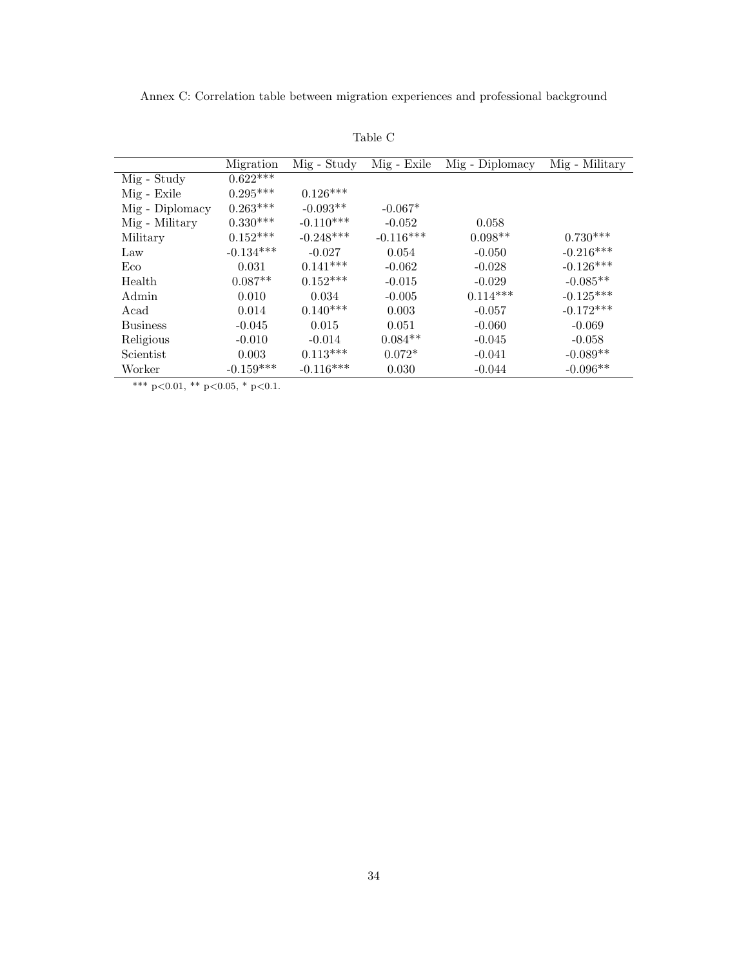Annex C: Correlation table between migration experiences and professional background

|                 | Migration             | Mig - Study | Mig - Exile | Mig - Diplomacy | Mig - Military |
|-----------------|-----------------------|-------------|-------------|-----------------|----------------|
| Mig - Study     | $0.62\overline{2***}$ |             |             |                 |                |
| Mig - Exile     | $0.295***$            | $0.126***$  |             |                 |                |
| Mig - Diplomacy | $0.263***$            | $-0.093**$  | $-0.067*$   |                 |                |
| Mig - Military  | $0.330***$            | $-0.110***$ | $-0.052$    | 0.058           |                |
| Military        | $0.152***$            | $-0.248***$ | $-0.116***$ | $0.098**$       | $0.730***$     |
| Law             | $-0.134***$           | $-0.027$    | 0.054       | $-0.050$        | $-0.216***$    |
| Eco             | 0.031                 | $0.141***$  | $-0.062$    | $-0.028$        | $-0.126***$    |
| Health          | $0.087**$             | $0.152***$  | $-0.015$    | $-0.029$        | $-0.085**$     |
| Admin           | 0.010                 | 0.034       | $-0.005$    | $0.114***$      | $-0.125***$    |
| Acad            | 0.014                 | $0.140***$  | 0.003       | $-0.057$        | $-0.172***$    |
| <b>Business</b> | $-0.045$              | 0.015       | 0.051       | $-0.060$        | $-0.069$       |
| Religious       | $-0.010$              | $-0.014$    | $0.084**$   | $-0.045$        | $-0.058$       |
| Scientist       | 0.003                 | $0.113***$  | $0.072*$    | $-0.041$        | $-0.089**$     |
| Worker          | $-0.159***$           | $-0.116***$ | 0.030       | $-0.044$        | $-0.096**$     |

Table C

\*\*\* p<0.01, \*\* p<0.05, \* p<0.1.